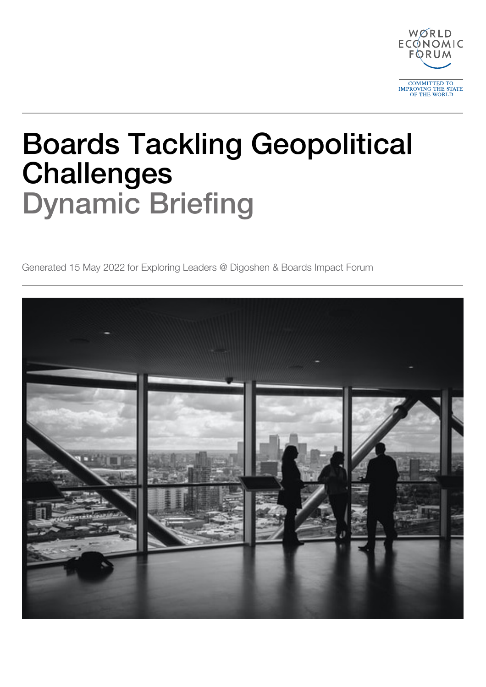

# Boards Tackling Geopolitical Challenges Dynamic Briefing

Generated 15 May 2022 for Exploring Leaders @ Digoshen & Boards Impact Forum

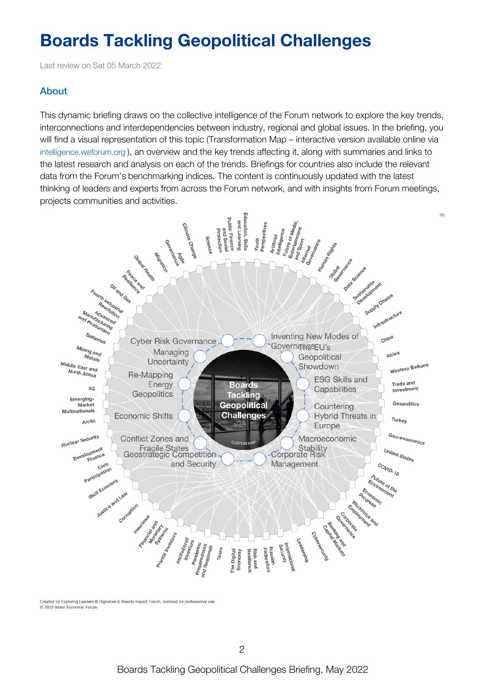## **Boards Tackling Geopolitical Challenges**

Last review on Sat 05 March 2022

## About

This dynamic briefing draws on the collective intelligence of the Forum network to explore the key trends, interconnections and interdependencies between industry, regional and global issues. In the briefing, you will find a visual representation of this topic (Transformation Map – interactive version available online via [intelligence.weforum.org](https://intelligence.weforum.org/topics/95f937ecf305476fa359b60a0d6dda33) ), an overview and the key trends affecting it, along with summaries and links to the latest research and analysis on each of the trends. Briefings for countries also include the relevant data from the Forum's benchmarking indices. The content is continuously updated with the latest thinking of leaders and experts from across the Forum network, and with insights from Forum meetings, projects communities and activities.



Created by Exploring Leaders @ Digoshen & Boards Impact Forum, licensed for professional use C 2022 World Economic Forum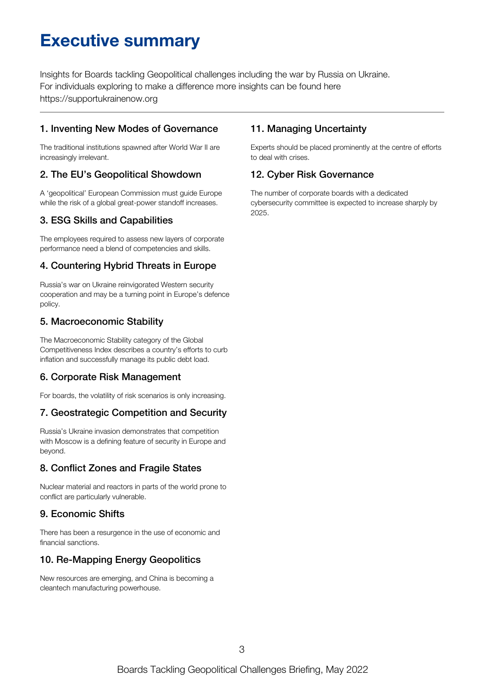## **Executive summary**

Insights for Boards tackling Geopolitical challenges including the war by Russia on Ukraine. For individuals exploring to make a difference more insights can be found here https://supportukrainenow.org

## 1. Inventing New Modes of Governance

The traditional institutions spawned after World War II are increasingly irrelevant.

## 2. The EU's Geopolitical Showdown

A 'geopolitical' European Commission must guide Europe while the risk of a global great-power standoff increases.

## 3. ESG Skills and Capabilities

The employees required to assess new layers of corporate performance need a blend of competencies and skills.

## 4. Countering Hybrid Threats in Europe

Russia's war on Ukraine reinvigorated Western security cooperation and may be a turning point in Europe's defence policy.

## 5. Macroeconomic Stability

The Macroeconomic Stability category of the Global Competitiveness Index describes a country's efforts to curb inflation and successfully manage its public debt load.

## 6. Corporate Risk Management

For boards, the volatility of risk scenarios is only increasing.

## 7. Geostrategic Competition and Security

Russia's Ukraine invasion demonstrates that competition with Moscow is a defining feature of security in Europe and beyond.

## 8. Conflict Zones and Fragile States

Nuclear material and reactors in parts of the world prone to conflict are particularly vulnerable.

## 9. Economic Shifts

There has been a resurgence in the use of economic and financial sanctions.

## 10. Re-Mapping Energy Geopolitics

New resources are emerging, and China is becoming a cleantech manufacturing powerhouse.

## 11. Managing Uncertainty

Experts should be placed prominently at the centre of efforts to deal with crises.

## 12. Cyber Risk Governance

The number of corporate boards with a dedicated cybersecurity committee is expected to increase sharply by 2025.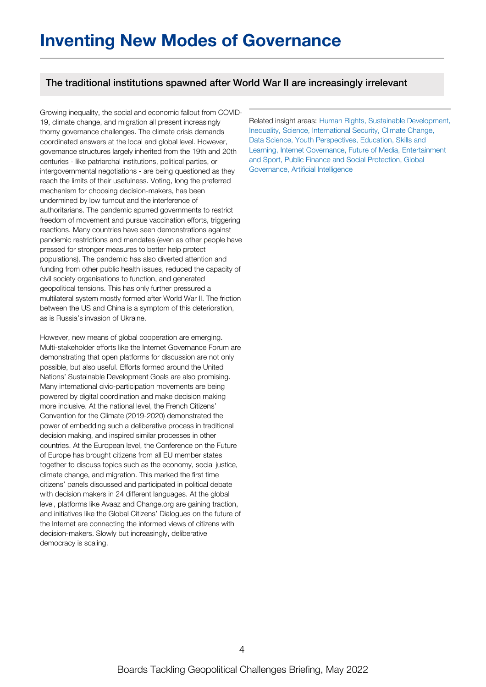## The traditional institutions spawned after World War II are increasingly irrelevant

Growing inequality, the social and economic fallout from COVID-19, climate change, and migration all present increasingly thorny governance challenges. The climate crisis demands coordinated answers at the local and global level. However, governance structures largely inherited from the 19th and 20th centuries - like patriarchal institutions, political parties, or intergovernmental negotiations - are being questioned as they reach the limits of their usefulness. Voting, long the preferred mechanism for choosing decision-makers, has been undermined by low turnout and the interference of authoritarians. The pandemic spurred governments to restrict freedom of movement and pursue vaccination efforts, triggering reactions. Many countries have seen demonstrations against pandemic restrictions and mandates (even as other people have pressed for stronger measures to better help protect populations). The pandemic has also diverted attention and funding from other public health issues, reduced the capacity of civil society organisations to function, and generated geopolitical tensions. This has only further pressured a multilateral system mostly formed after World War II. The friction between the US and China is a symptom of this deterioration, as is Russia's invasion of Ukraine.

However, new means of global cooperation are emerging. Multi-stakeholder efforts like the Internet Governance Forum are demonstrating that open platforms for discussion are not only possible, but also useful. Efforts formed around the United Nations' Sustainable Development Goals are also promising. Many international civic-participation movements are being powered by digital coordination and make decision making more inclusive. At the national level, the French Citizens' Convention for the Climate (2019-2020) demonstrated the power of embedding such a deliberative process in traditional decision making, and inspired similar processes in other countries. At the European level, the Conference on the Future of Europe has brought citizens from all EU member states together to discuss topics such as the economy, social justice, climate change, and migration. This marked the first time citizens' panels discussed and participated in political debate with decision makers in 24 different languages. At the global level, platforms like Avaaz and Change.org are gaining traction, and initiatives like the Global Citizens' Dialogues on the future of the Internet are connecting the informed views of citizens with decision-makers. Slowly but increasingly, deliberative democracy is scaling.

Related insight areas: Human Rights, Sustainable Development, Inequality, Science, International Security, Climate Change, Data Science, Youth Perspectives, Education, Skills and Learning, Internet Governance, Future of Media, Entertainment and Sport, Public Finance and Social Protection, Global Governance, Artificial Intelligence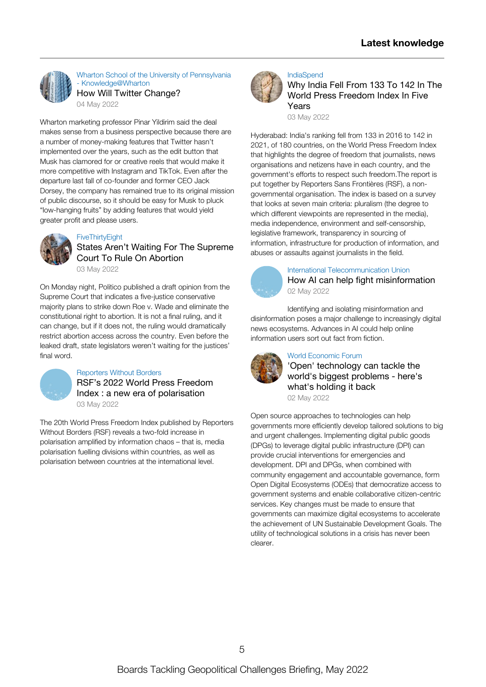

Wharton School of the University of Pennsylvania - [Knowledge@Wharton](https://knowledge.wharton.upenn.edu/article/how-will-twitter-change/) How Will Twitter [Change?](https://knowledge.wharton.upenn.edu/article/how-will-twitter-change/)

04 May [2022](https://knowledge.wharton.upenn.edu/article/how-will-twitter-change/)

Wharton marketing professor Pinar Yildirim said the deal makes sense from a business perspective because there are a number of [money-making](https://knowledge.wharton.upenn.edu/article/how-will-twitter-change/) features that Twitter hasn't implemented over the years, such as the edit button that Musk has clamored for or creative reels that would make it more competitive with Instagram and TikTok. Even after the departure last fall of co-founder and former CEO Jack Dorsey, the company has remained true to its original mission of public discourse, so it should be easy for Musk to pluck "low-hanging fruits" by adding features that would yield greater profit and please users.



#### **[FiveThirtyEight](https://fivethirtyeight.com/features/states-arent-waiting-for-the-supreme-court-to-rule-on-abortion/)**

### States Aren't Waiting For The [Supreme](https://fivethirtyeight.com/features/states-arent-waiting-for-the-supreme-court-to-rule-on-abortion/) Court To Rule On Abortion 03 May [2022](https://fivethirtyeight.com/features/states-arent-waiting-for-the-supreme-court-to-rule-on-abortion/)

On Monday night, Politico published a draft opinion from the Supreme Court that indicates a five-justice conservative majority plans to strike down Roe v. Wade and eliminate the [constitutional](https://fivethirtyeight.com/features/states-arent-waiting-for-the-supreme-court-to-rule-on-abortion/) right to abortion. It is not a final ruling, and it can change, but if it does not, the ruling would dramatically restrict abortion access across the country. Even before the leaked draft, state legislators weren't waiting for the justices' final word.



#### [Reporters](https://rsf.org/en/rsf%25E2%2580%2599s-2022-world-press-freedom-index-new-era-polarisation) Without Borders

RSF's 2022 World Press Freedom Index : a new era of [polarisation](https://rsf.org/en/rsf%25E2%2580%2599s-2022-world-press-freedom-index-new-era-polarisation) 03 May [2022](https://rsf.org/en/rsf%25E2%2580%2599s-2022-world-press-freedom-index-new-era-polarisation)

The 20th World Press Freedom Index published by Reporters Without Borders (RSF) reveals a two-fold increase in polarisation amplified by information chaos – that is, media polarisation fuelling divisions within countries, as well as polarisation between countries at the [international](https://rsf.org/en/rsf%25E2%2580%2599s-2022-world-press-freedom-index-new-era-polarisation) level.



#### [IndiaSpend](https://www.indiaspend.com/governance/why-india-fell-from-133-to-142-in-the-world-press-freedom-index-in-five-years-815880)

Why India Fell From 133 To 142 In The World Press [Freedom](https://www.indiaspend.com/governance/why-india-fell-from-133-to-142-in-the-world-press-freedom-index-in-five-years-815880) Index In Five Years

03 May [2022](https://www.indiaspend.com/governance/why-india-fell-from-133-to-142-in-the-world-press-freedom-index-in-five-years-815880)

Hyderabad: India's ranking fell from 133 in 2016 to 142 in 2021, of 180 countries, on the World Press Freedom Index that highlights the degree of freedom that journalists, news organisations and netizens have in each country, and the government's efforts to respect such freedom.The report is put together by Reporters Sans Frontières (RSF), a nongovernmental organisation. The index is based on a survey that looks at seven main criteria: pluralism (the degree to which different viewpoints are represented in the media), media independence, environment and [self-censorship,](https://www.indiaspend.com/governance/why-india-fell-from-133-to-142-in-the-world-press-freedom-index-in-five-years-815880) legislative framework, transparency in sourcing of information, infrastructure for production of information, and abuses or assaults against journalists in the field.



International [Telecommunication](https://www.itu.int/hub/2022/05/ai-can-help-fight-misinformation/) Union How AI can help fight [misinformation](https://www.itu.int/hub/2022/05/ai-can-help-fight-misinformation/) 02 May [2022](https://www.itu.int/hub/2022/05/ai-can-help-fight-misinformation/)

Identifying and isolating [misinformation](https://www.itu.int/hub/2022/05/ai-can-help-fight-misinformation/) and disinformation poses a major challenge to increasingly digital news ecosystems. Advances in AI could help online information users sort out fact from fiction.



#### World [Economic](https://www.weforum.org/agenda/2022/05/digital-public-goods-open-source-technology-ecosystem/) Forum

'Open' [technology](https://www.weforum.org/agenda/2022/05/digital-public-goods-open-source-technology-ecosystem/) can tackle the world's biggest problems - here's what's holding it back

02 May [2022](https://www.weforum.org/agenda/2022/05/digital-public-goods-open-source-technology-ecosystem/)

Open source approaches to technologies can help governments more efficiently develop tailored solutions to big and urgent challenges. Implementing digital public goods (DPGs) to leverage digital public infrastructure (DPI) can provide crucial interventions for emergencies and development. DPI and DPGs, when combined with community engagement and accountable governance, form Open Digital Ecosystems (ODEs) that democratize access to government systems and enable collaborative [citizen-centric](https://www.weforum.org/agenda/2022/05/digital-public-goods-open-source-technology-ecosystem/) services. Key changes must be made to ensure that governments can maximize digital ecosystems to accelerate the achievement of UN Sustainable Development Goals. The utility of technological solutions in a crisis has never been clearer.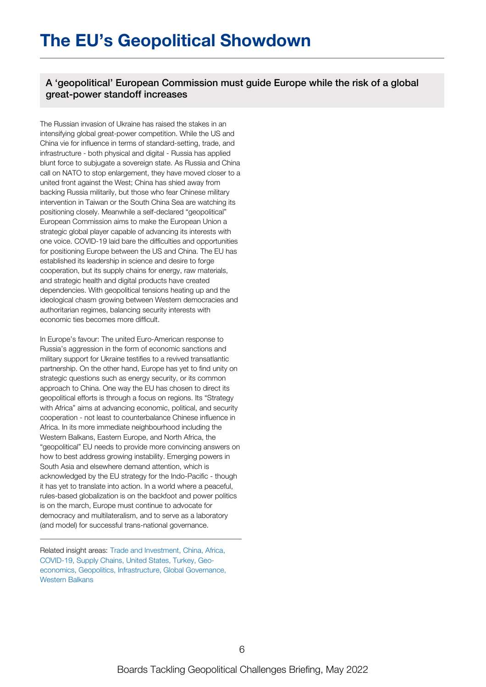A 'geopolitical' European Commission must guide Europe while the risk of a global great-power standoff increases

The Russian invasion of Ukraine has raised the stakes in an intensifying global great-power competition. While the US and China vie for influence in terms of standard-setting, trade, and infrastructure - both physical and digital - Russia has applied blunt force to subjugate a sovereign state. As Russia and China call on NATO to stop enlargement, they have moved closer to a united front against the West; China has shied away from backing Russia militarily, but those who fear Chinese military intervention in Taiwan or the South China Sea are watching its positioning closely. Meanwhile a self-declared "geopolitical" European Commission aims to make the European Union a strategic global player capable of advancing its interests with one voice. COVID-19 laid bare the difficulties and opportunities for positioning Europe between the US and China. The EU has established its leadership in science and desire to forge cooperation, but its supply chains for energy, raw materials, and strategic health and digital products have created dependencies. With geopolitical tensions heating up and the ideological chasm growing between Western democracies and authoritarian regimes, balancing security interests with economic ties becomes more difficult.

In Europe's favour: The united Euro-American response to Russia's aggression in the form of economic sanctions and military support for Ukraine testifies to a revived transatlantic partnership. On the other hand, Europe has yet to find unity on strategic questions such as energy security, or its common approach to China. One way the EU has chosen to direct its geopolitical efforts is through a focus on regions. Its "Strategy with Africa" aims at advancing economic, political, and security cooperation - not least to counterbalance Chinese influence in Africa. In its more immediate neighbourhood including the Western Balkans, Eastern Europe, and North Africa, the "geopolitical" EU needs to provide more convincing answers on how to best address growing instability. Emerging powers in South Asia and elsewhere demand attention, which is acknowledged by the EU strategy for the Indo-Pacific - though it has yet to translate into action. In a world where a peaceful, rules-based globalization is on the backfoot and power politics is on the march, Europe must continue to advocate for democracy and multilateralism, and to serve as a laboratory (and model) for successful trans-national governance.

Related insight areas: Trade and Investment, China, Africa, COVID-19, Supply Chains, United States, Turkey, Geoeconomics, Geopolitics, Infrastructure, Global Governance, Western Balkans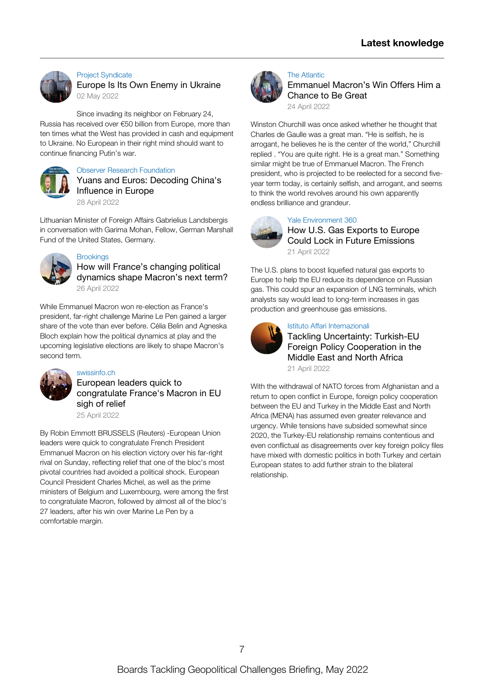

#### Project [Syndicate](https://www.project-syndicate.org/commentary/europe-financing-putin-war-that-targets-europe-by-simon-johnson-2022-05) Europe Is Its Own Enemy in [Ukraine](https://www.project-syndicate.org/commentary/europe-financing-putin-war-that-targets-europe-by-simon-johnson-2022-05) 02 May [2022](https://www.project-syndicate.org/commentary/europe-financing-putin-war-that-targets-europe-by-simon-johnson-2022-05)

Since invading its neighbor on February 24, Russia has received over €50 billion from Europe, more than ten times what the West has provided in cash and [equipment](https://www.project-syndicate.org/commentary/europe-financing-putin-war-that-targets-europe-by-simon-johnson-2022-05) to Ukraine. No European in their right mind should want to continue financing Putin's war.



## Observer Research [Foundation](https://www.youtube.com/watch?v=N391wooJp6M)

Yuans and Euros: [Decoding](https://www.youtube.com/watch?v=N391wooJp6M) China's Influence in Europe 28 April [2022](https://www.youtube.com/watch?v=N391wooJp6M)

Lithuanian Minister of Foreign Affairs Gabrielius Landsbergis in [conversation](https://www.youtube.com/watch?v=N391wooJp6M) with Garima Mohan, Fellow, German Marshall Fund of the United States, Germany.



## **[Brookings](https://www.brookings.edu/podcast-episode/how-will-frances-changing-political-dynamics-shape-macrons-next-term/)**

How will France's changing political [dynamics](https://www.brookings.edu/podcast-episode/how-will-frances-changing-political-dynamics-shape-macrons-next-term/) shape Macron's next term? 26 April [2022](https://www.brookings.edu/podcast-episode/how-will-frances-changing-political-dynamics-shape-macrons-next-term/)

While [Emmanuel](https://www.brookings.edu/podcast-episode/how-will-frances-changing-political-dynamics-shape-macrons-next-term/) Macron won re-election as France's president, far-right challenge Marine Le Pen gained a larger share of the vote than ever before. Célia Belin and Agneska Bloch explain how the political dynamics at play and the upcoming legislative elections are likely to shape Macron's second term.



## [swissinfo.ch](https://www.swissinfo.ch/eng/reuters/european-leaders-quick-to-congratulate-france-s-macron-in-eu-sigh-of-relief/47541288)

European leaders quick to [congratulate](https://www.swissinfo.ch/eng/reuters/european-leaders-quick-to-congratulate-france-s-macron-in-eu-sigh-of-relief/47541288) France's Macron in EU sigh of relief

25 April [2022](https://www.swissinfo.ch/eng/reuters/european-leaders-quick-to-congratulate-france-s-macron-in-eu-sigh-of-relief/47541288)

By Robin Emmott BRUSSELS (Reuters) -European Union leaders were quick to congratulate French President Emmanuel Macron on his election victory over his far-right rival on Sunday, reflecting relief that one of the bloc's most pivotal countries had avoided a political shock. European Council President Charles Michel, as well as the prime ministers of Belgium and [Luxembourg,](https://www.swissinfo.ch/eng/reuters/european-leaders-quick-to-congratulate-france-s-macron-in-eu-sigh-of-relief/47541288) were among the first to congratulate Macron, followed by almost all of the bloc's 27 leaders, after his win over Marine Le Pen by a comfortable margin.



## The [Atlantic](https://www.theatlantic.com/international/archive/2022/04/france-presidential-election-results-macron-wins/629664/)

[Emmanuel](https://www.theatlantic.com/international/archive/2022/04/france-presidential-election-results-macron-wins/629664/) Macron's Win Offers Him a Chance to Be Great

24 April [2022](https://www.theatlantic.com/international/archive/2022/04/france-presidential-election-results-macron-wins/629664/)

Winston Churchill was once asked whether he thought that Charles de Gaulle was a great man. "He is selfish, he is arrogant, he believes he is the center of the world," Churchill replied . "You are quite right. He is a great man." [Something](https://www.theatlantic.com/international/archive/2022/04/france-presidential-election-results-macron-wins/629664/) similar might be true of Emmanuel Macron. The French president, who is projected to be reelected for a second fiveyear term today, is certainly selfish, and arrogant, and seems to think the world revolves around his own apparently endless brilliance and grandeur.



## Yale [Environment](https://e360.yale.edu/features/how-u.s.-gas-exports-to-europe-could-lock-in-future-emissions) 360

How U.S. Gas Exports to Europe Could Lock in Future [Emissions](https://e360.yale.edu/features/how-u.s.-gas-exports-to-europe-could-lock-in-future-emissions) 21 April [2022](https://e360.yale.edu/features/how-u.s.-gas-exports-to-europe-could-lock-in-future-emissions)

The U.S. plans to boost liquefied natural gas exports to Europe to help the EU reduce its [dependence](https://e360.yale.edu/features/how-u.s.-gas-exports-to-europe-could-lock-in-future-emissions) on Russian gas. This could spur an expansion of LNG terminals, which analysts say would lead to long-term increases in gas production and greenhouse gas emissions.



## Istituto Affari [Internazionali](https://www.iai.it/en/eventi/tackling-uncertainty-turkish-eu-foreign-policy-cooperation-middle-east-and-north-africa)

Tackling Uncertainty: Turkish-EU Foreign Policy [Cooperation](https://www.iai.it/en/eventi/tackling-uncertainty-turkish-eu-foreign-policy-cooperation-middle-east-and-north-africa) in the Middle East and North Africa 21 April [2022](https://www.iai.it/en/eventi/tackling-uncertainty-turkish-eu-foreign-policy-cooperation-middle-east-and-north-africa)

With the withdrawal of NATO forces from Afghanistan and a return to open conflict in Europe, foreign policy cooperation between the EU and Turkey in the Middle East and North Africa (MENA) has assumed even greater relevance and urgency. While tensions have subsided somewhat since 2020, the Turkey-EU relationship remains contentious and even conflictual as [disagreements](https://www.iai.it/en/eventi/tackling-uncertainty-turkish-eu-foreign-policy-cooperation-middle-east-and-north-africa) over key foreign policy files have mixed with domestic politics in both Turkey and certain European states to add further strain to the bilateral relationship.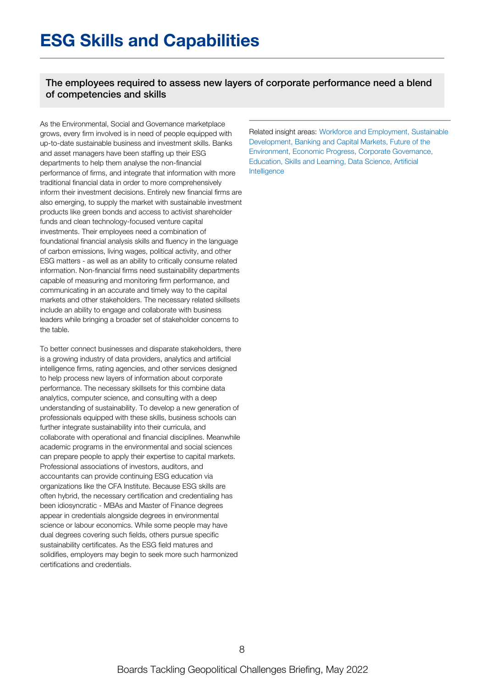The employees required to assess new layers of corporate performance need a blend of competencies and skills

As the Environmental, Social and Governance marketplace grows, every firm involved is in need of people equipped with up-to-date sustainable business and investment skills. Banks and asset managers have been staffing up their ESG departments to help them analyse the non-financial performance of firms, and integrate that information with more traditional financial data in order to more comprehensively inform their investment decisions. Entirely new financial firms are also emerging, to supply the market with sustainable investment products like green bonds and access to activist shareholder funds and clean technology-focused venture capital investments. Their employees need a combination of foundational financial analysis skills and fluency in the language of carbon emissions, living wages, political activity, and other ESG matters - as well as an ability to critically consume related information. Non-financial firms need sustainability departments capable of measuring and monitoring firm performance, and communicating in an accurate and timely way to the capital markets and other stakeholders. The necessary related skillsets include an ability to engage and collaborate with business leaders while bringing a broader set of stakeholder concerns to the table.

To better connect businesses and disparate stakeholders, there is a growing industry of data providers, analytics and artificial intelligence firms, rating agencies, and other services designed to help process new layers of information about corporate performance. The necessary skillsets for this combine data analytics, computer science, and consulting with a deep understanding of sustainability. To develop a new generation of professionals equipped with these skills, business schools can further integrate sustainability into their curricula, and collaborate with operational and financial disciplines. Meanwhile academic programs in the environmental and social sciences can prepare people to apply their expertise to capital markets. Professional associations of investors, auditors, and accountants can provide continuing ESG education via organizations like the CFA Institute. Because ESG skills are often hybrid, the necessary certification and credentialing has been idiosyncratic - MBAs and Master of Finance degrees appear in credentials alongside degrees in environmental science or labour economics. While some people may have dual degrees covering such fields, others pursue specific sustainability certificates. As the ESG field matures and solidifies, employers may begin to seek more such harmonized certifications and credentials.

Related insight areas: Workforce and Employment, Sustainable Development, Banking and Capital Markets, Future of the Environment, Economic Progress, Corporate Governance, Education, Skills and Learning, Data Science, Artificial Intelligence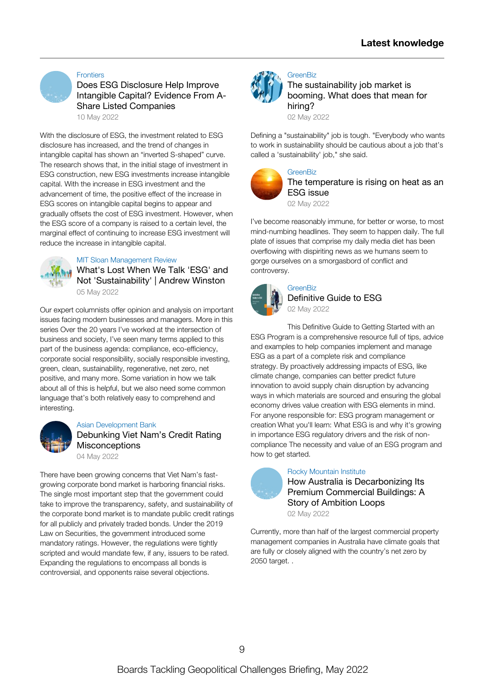

#### **[Frontiers](https://www.frontiersin.org/article/10.3389/fenvs.2022.858548/full)**

Does ESG Disclosure Help Improve Intangible Capital? Evidence From A-Share Listed [Companies](https://www.frontiersin.org/article/10.3389/fenvs.2022.858548/full)

10 May [2022](https://www.frontiersin.org/article/10.3389/fenvs.2022.858548/full)

With the disclosure of ESG, the investment related to ESG disclosure has increased, and the trend of changes in intangible capital has shown an "inverted S-shaped" curve. The research shows that, in the initial stage of investment in ESG construction, new ESG investments increase intangible capital. With the increase in ESG investment and the [advancement](https://www.frontiersin.org/article/10.3389/fenvs.2022.858548/full) of time, the positive effect of the increase in ESG scores on intangible capital begins to appear and gradually offsets the cost of ESG investment. However, when the ESG score of a company is raised to a certain level, the marginal effect of continuing to increase ESG investment will reduce the increase in intangible capital.

#### MIT Sloan [Management](https://sloanreview.mit.edu/article/whats-lost-when-we-talk-esg-and-not-sustainability/) Review

What's Lost When We Talk 'ESG' and Not ['Sustainability'](https://sloanreview.mit.edu/article/whats-lost-when-we-talk-esg-and-not-sustainability/) | Andrew Winston 05 May [2022](https://sloanreview.mit.edu/article/whats-lost-when-we-talk-esg-and-not-sustainability/)

Our expert columnists offer opinion and analysis on important issues facing modern businesses and managers. More in this series Over the 20 years I've worked at the intersection of business and society, I've seen many terms applied to this part of the business agenda: compliance, [eco-efficiency,](https://sloanreview.mit.edu/article/whats-lost-when-we-talk-esg-and-not-sustainability/) corporate social responsibility, socially responsible investing, green, clean, sustainability, regenerative, net zero, net positive, and many more. Some variation in how we talk about all of this is helpful, but we also need some common language that's both relatively easy to comprehend and interesting.



#### Asian [Development](https://blogs.adb.org/debunking-vietnams-credit-rating-misconceptions) Bank

Debunking Viet Nam's Credit Rating **[Misconceptions](https://blogs.adb.org/debunking-vietnams-credit-rating-misconceptions)** 

04 May [2022](https://blogs.adb.org/debunking-vietnams-credit-rating-misconceptions) There have been growing concerns that Viet Nam's fastgrowing corporate bond market is harboring financial risks. The single most important step that the government could take to improve the [transparency,](https://blogs.adb.org/debunking-vietnams-credit-rating-misconceptions) safety, and sustainability of the corporate bond market is to mandate public credit ratings for all publicly and privately traded bonds. Under the 2019 Law on Securities, the government introduced some mandatory ratings. However, the regulations were tightly scripted and would mandate few, if any, issuers to be rated. Expanding the regulations to encompass all bonds is

controversial, and opponents raise several objections.



## **[GreenBiz](https://www.greenbiz.com/article/sustainability-job-market-booming-what-does-mean-hiring)**

The [sustainability](https://www.greenbiz.com/article/sustainability-job-market-booming-what-does-mean-hiring) job market is booming. What does that mean for hiring?

02 May [2022](https://www.greenbiz.com/article/sustainability-job-market-booming-what-does-mean-hiring)

Defining a ["sustainability"](https://www.greenbiz.com/article/sustainability-job-market-booming-what-does-mean-hiring) job is tough. "Everybody who wants to work in sustainability should be cautious about a job that's called a 'sustainability' job," she said.



#### **[GreenBiz](https://www.greenbiz.com/article/temperature-rising-heat-esg-issue)** The [temperature](https://www.greenbiz.com/article/temperature-rising-heat-esg-issue) is rising on heat as an ESG issue

02 May [2022](https://www.greenbiz.com/article/temperature-rising-heat-esg-issue)

I've become reasonably immune, for better or worse, to most [mind-numbing](https://www.greenbiz.com/article/temperature-rising-heat-esg-issue) headlines. They seem to happen daily. The full plate of issues that comprise my daily media diet has been overflowing with dispiriting news as we humans seem to gorge ourselves on a smorgasbord of conflict and controversy.



**[GreenBiz](https://www.greenbiz.com/report/definitive-guide-esg)** [Definitive](https://www.greenbiz.com/report/definitive-guide-esg) Guide to ESG 02 May [2022](https://www.greenbiz.com/report/definitive-guide-esg)

This Definitive Guide to Getting Started with an ESG Program is a [comprehensive](https://www.greenbiz.com/report/definitive-guide-esg) resource full of tips, advice and examples to help companies implement and manage ESG as a part of a complete risk and compliance strategy. By proactively addressing impacts of ESG, like climate change, companies can better predict future innovation to avoid supply chain disruption by advancing ways in which materials are sourced and ensuring the global economy drives value creation with ESG elements in mind. For anyone responsible for: ESG program management or creation What you'll learn: What ESG is and why it's growing in importance ESG regulatory drivers and the risk of noncompliance The necessity and value of an ESG program and how to get started.



## Rocky [Mountain](https://rmi.org/australia-is-decarbonizing-its-premium-commercial-buildings/) Institute

How Australia is [Decarbonizing](https://rmi.org/australia-is-decarbonizing-its-premium-commercial-buildings/) Its Premium Commercial Buildings: A Story of Ambition Loops 02 May [2022](https://rmi.org/australia-is-decarbonizing-its-premium-commercial-buildings/)

Currently, more than half of the largest commercial property [management](https://rmi.org/australia-is-decarbonizing-its-premium-commercial-buildings/) companies in Australia have climate goals that are fully or closely aligned with the country's net zero by 2050 target. .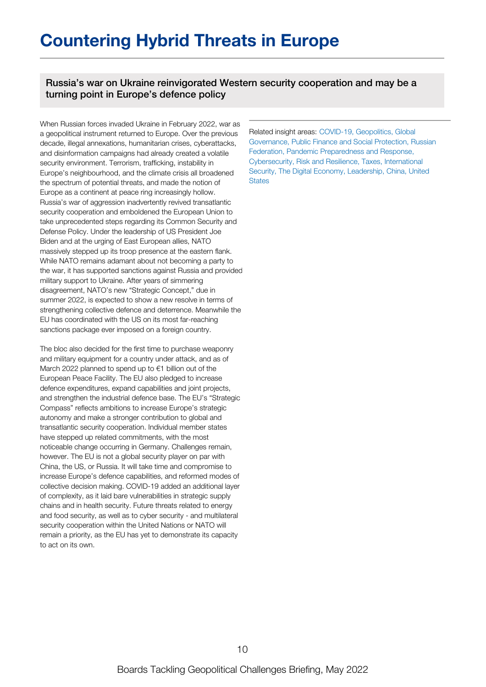## **Countering Hybrid Threats in Europe**

Russia's war on Ukraine reinvigorated Western security cooperation and may be a turning point in Europe's defence policy

When Russian forces invaded Ukraine in February 2022, war as a geopolitical instrument returned to Europe. Over the previous decade, illegal annexations, humanitarian crises, cyberattacks, and disinformation campaigns had already created a volatile security environment. Terrorism, trafficking, instability in Europe's neighbourhood, and the climate crisis all broadened the spectrum of potential threats, and made the notion of Europe as a continent at peace ring increasingly hollow. Russia's war of aggression inadvertently revived transatlantic security cooperation and emboldened the European Union to take unprecedented steps regarding its Common Security and Defense Policy. Under the leadership of US President Joe Biden and at the urging of East European allies, NATO massively stepped up its troop presence at the eastern flank. While NATO remains adamant about not becoming a party to the war, it has supported sanctions against Russia and provided military support to Ukraine. After years of simmering disagreement, NATO's new "Strategic Concept," due in summer 2022, is expected to show a new resolve in terms of strengthening collective defence and deterrence. Meanwhile the EU has coordinated with the US on its most far-reaching sanctions package ever imposed on a foreign country.

The bloc also decided for the first time to purchase weaponry and military equipment for a country under attack, and as of March 2022 planned to spend up to €1 billion out of the European Peace Facility. The EU also pledged to increase defence expenditures, expand capabilities and joint projects, and strengthen the industrial defence base. The EU's "Strategic Compass" reflects ambitions to increase Europe's strategic autonomy and make a stronger contribution to global and transatlantic security cooperation. Individual member states have stepped up related commitments, with the most noticeable change occurring in Germany. Challenges remain, however. The EU is not a global security player on par with China, the US, or Russia. It will take time and compromise to increase Europe's defence capabilities, and reformed modes of collective decision making. COVID-19 added an additional layer of complexity, as it laid bare vulnerabilities in strategic supply chains and in health security. Future threats related to energy and food security, as well as to cyber security - and multilateral security cooperation within the United Nations or NATO will remain a priority, as the EU has yet to demonstrate its capacity to act on its own.

Related insight areas: COVID-19, Geopolitics, Global Governance, Public Finance and Social Protection, Russian Federation, Pandemic Preparedness and Response, Cybersecurity, Risk and Resilience, Taxes, International Security, The Digital Economy, Leadership, China, United **States**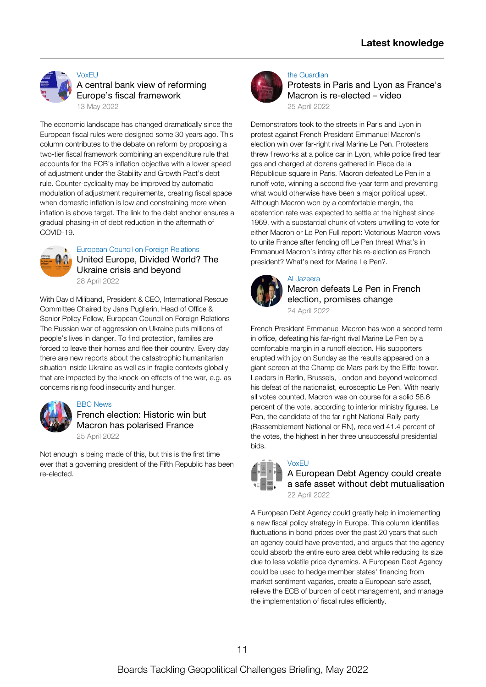

**[VoxEU](https://voxeu.org/article/central-bank-view-reforming-europe-s-fiscal-framework)** A central bank view of reforming Europe's fiscal [framework](https://voxeu.org/article/central-bank-view-reforming-europe-s-fiscal-framework)

13 May [2022](https://voxeu.org/article/central-bank-view-reforming-europe-s-fiscal-framework)

The economic landscape has changed dramatically since the European fiscal rules were designed some 30 years ago. This column contributes to the debate on reform by proposing a two-tier fiscal framework combining an expenditure rule that accounts for the ECB's inflation objective with a lower speed of adjustment under the Stability and Growth Pact's debt rule. [Counter-cyclicality](https://voxeu.org/article/central-bank-view-reforming-europe-s-fiscal-framework) may be improved by automatic modulation of adjustment requirements, creating fiscal space when domestic inflation is low and constraining more when inflation is above target. The link to the debt anchor ensures a gradual phasing-in of debt reduction in the aftermath of COVID-19.



#### [European](https://www.youtube.com/watch?v=jvL3rZ1xhEE) Council on Foreign Relations United [Europe,](https://www.youtube.com/watch?v=jvL3rZ1xhEE) Divided World? The Ukraine crisis and beyond 28 April [2022](https://www.youtube.com/watch?v=jvL3rZ1xhEE)

With David Miliband, President & CEO, International Rescue Committee Chaired by Jana Puglierin, Head of Office & Senior Policy Fellow, European Council on Foreign Relations The Russian war of aggression on Ukraine puts millions of people's lives in danger. To find protection, families are forced to leave their homes and flee their country. Every day there are new reports about the catastrophic [humanitarian](https://www.youtube.com/watch?v=jvL3rZ1xhEE) situation inside Ukraine as well as in fragile contexts globally that are impacted by the knock-on effects of the war, e.g. as concerns rising food insecurity and hunger.



## BBC [News](https://www.bbc.com/news/world-europe-61209765)

French election: Historic win but Macron has [polarised](https://www.bbc.com/news/world-europe-61209765) France 25 April [2022](https://www.bbc.com/news/world-europe-61209765)

Not enough is being made of this, but this is the first time ever that a governing president of the Fifth Republic has been [re-elected.](https://www.bbc.com/news/world-europe-61209765)



#### the [Guardian](https://www.theguardian.com/world/video/2022/apr/25/protests-in-paris-and-lyon-as-frances-macron-re-elected-video)

Protests in Paris and Lyon as France's Macron is [re-elected](https://www.theguardian.com/world/video/2022/apr/25/protests-in-paris-and-lyon-as-frances-macron-re-elected-video) – video 25 April [2022](https://www.theguardian.com/world/video/2022/apr/25/protests-in-paris-and-lyon-as-frances-macron-re-elected-video)

[Demonstrators](https://www.theguardian.com/world/video/2022/apr/25/protests-in-paris-and-lyon-as-frances-macron-re-elected-video) took to the streets in Paris and Lyon in protest against French President Emmanuel Macron's election win over far-right rival Marine Le Pen. Protesters threw fireworks at a police car in Lyon, while police fired tear gas and charged at dozens gathered in Place de la République square in Paris. Macron defeated Le Pen in a runoff vote, winning a second five-year term and preventing what would otherwise have been a major political upset. Although Macron won by a comfortable margin, the abstention rate was expected to settle at the highest since 1969, with a substantial chunk of voters unwilling to vote for either Macron or Le Pen Full report: Victorious Macron vows to unite France after fending off Le Pen threat What's in Emmanuel Macron's intray after his re-election as French president? What's next for Marine Le Pen?.



#### Al [Jazeera](https://www.aljazeera.com/news/2022/4/24/french-election-2022-macron-defeats-le-pen-projections) Macron defeats Le Pen in French election, [promises](https://www.aljazeera.com/news/2022/4/24/french-election-2022-macron-defeats-le-pen-projections) change 24 April [2022](https://www.aljazeera.com/news/2022/4/24/french-election-2022-macron-defeats-le-pen-projections)

French President Emmanuel Macron has won a second term in office, defeating his far-right rival Marine Le Pen by a comfortable margin in a runoff election. His supporters erupted with joy on Sunday as the results appeared on a giant screen at the Champ de Mars park by the Eiffel tower. Leaders in Berlin, Brussels, London and beyond welcomed his defeat of the nationalist, eurosceptic Le Pen. With nearly all votes counted, Macron was on course for a solid 58.6 percent of the vote, according to interior ministry figures. Le Pen, the candidate of the far-right National Rally party [\(Rassemblement](https://www.aljazeera.com/news/2022/4/24/french-election-2022-macron-defeats-le-pen-projections) National or RN), received 41.4 percent of the votes, the highest in her three unsuccessful presidential bids.



## [VoxEU](https://voxeu.org/article/european-debt-agency-could-create-safe-asset-without-debt-mutualisation)

A European Debt Agency could create a safe asset without debt [mutualisation](https://voxeu.org/article/european-debt-agency-could-create-safe-asset-without-debt-mutualisation) 22 April [2022](https://voxeu.org/article/european-debt-agency-could-create-safe-asset-without-debt-mutualisation)

A European Debt Agency could greatly help in implementing a new fiscal policy strategy in Europe. This column identifies fluctuations in bond prices over the past 20 years that such an agency could have prevented, and argues that the agency could absorb the entire euro area debt while reducing its size due to less volatile price dynamics. A European Debt Agency could be used to hedge member states' financing from market sentiment vagaries, create a European safe asset, relieve the ECB of burden of debt management, and manage the [implementation](https://voxeu.org/article/european-debt-agency-could-create-safe-asset-without-debt-mutualisation) of fiscal rules efficiently.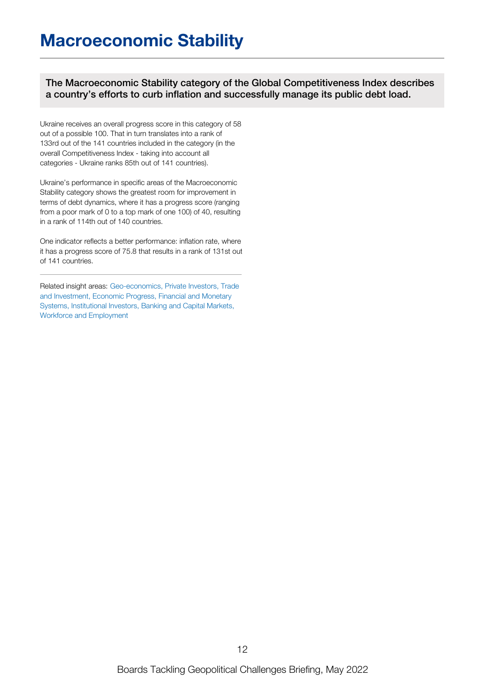The Macroeconomic Stability category of the Global Competitiveness Index describes a country's efforts to curb inflation and successfully manage its public debt load.

Ukraine receives an overall progress score in this category of 58 out of a possible 100. That in turn translates into a rank of 133rd out of the 141 countries included in the category (in the overall Competitiveness Index - taking into account all categories - Ukraine ranks 85th out of 141 countries).

Ukraine's performance in specific areas of the Macroeconomic Stability category shows the greatest room for improvement in terms of debt dynamics, where it has a progress score (ranging from a poor mark of 0 to a top mark of one 100) of 40, resulting in a rank of 114th out of 140 countries.

One indicator reflects a better performance: inflation rate, where it has a progress score of 75.8 that results in a rank of 131st out of 141 countries.

Related insight areas: Geo-economics, Private Investors, Trade and Investment, Economic Progress, Financial and Monetary Systems, Institutional Investors, Banking and Capital Markets, Workforce and Employment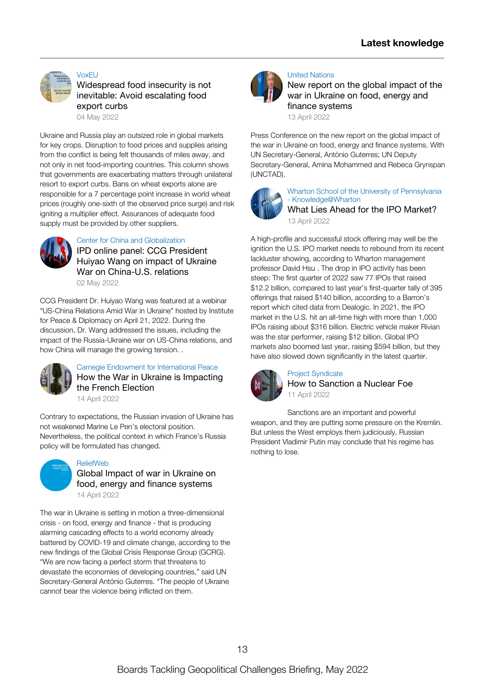

[VoxEU](https://voxeu.org/article/widespread-food-insecurity-not-inevitable-avoid-escalating-food-export-curbs)

[Widespread](https://voxeu.org/article/widespread-food-insecurity-not-inevitable-avoid-escalating-food-export-curbs) food insecurity is not inevitable: Avoid escalating food export curbs

04 May [2022](https://voxeu.org/article/widespread-food-insecurity-not-inevitable-avoid-escalating-food-export-curbs)

Ukraine and Russia play an outsized role in global markets for key crops. Disruption to food prices and supplies arising from the conflict is being felt thousands of miles away, and not only in net [food-importing](https://voxeu.org/article/widespread-food-insecurity-not-inevitable-avoid-escalating-food-export-curbs) countries. This column shows that governments are exacerbating matters through unilateral resort to export curbs. Bans on wheat exports alone are responsible for a 7 percentage point increase in world wheat prices (roughly one-sixth of the observed price surge) and risk igniting a multiplier effect. Assurances of adequate food supply must be provided by other suppliers.



Center for China and [Globalization](https://www.youtube.com/watch?v=uit-23u7umw)

IPD online panel: CCG President Huiyao Wang on impact of Ukraine War on [China-U.S.](https://www.youtube.com/watch?v=uit-23u7umw) relations

02 May [2022](https://www.youtube.com/watch?v=uit-23u7umw)

CCG President Dr. Huiyao Wang was featured at a webinar "US-China Relations Amid War in Ukraine" hosted by Institute for Peace & Diplomacy on April 21, 2022. During the discussion, Dr. Wang addressed the issues, including the impact of the [Russia-Ukraine](https://www.youtube.com/watch?v=uit-23u7umw) war on US-China relations, and how China will manage the growing tension. .



Carnegie Endowment for [International](https://carnegieeurope.eu/strategiceurope/86887?utm_source=rss&utm_medium=rss) Peace How the War in Ukraine is [Impacting](https://carnegieeurope.eu/strategiceurope/86887?utm_source=rss&utm_medium=rss) the French Election 14 April [2022](https://carnegieeurope.eu/strategiceurope/86887?utm_source=rss&utm_medium=rss)

Contrary to expectations, the Russian invasion of Ukraine has not weakened Marine Le Pen's electoral position. [Nevertheless,](https://carnegieeurope.eu/strategiceurope/86887?utm_source=rss&utm_medium=rss) the political context in which France's Russia policy will be formulated has changed.



[ReliefWeb](https://reliefweb.int/report/world/global-impact-war-ukraine-food-energy-and-finance-systems)

Global Impact of war in Ukraine on food, energy and finance [systems](https://reliefweb.int/report/world/global-impact-war-ukraine-food-energy-and-finance-systems) 14 April [2022](https://reliefweb.int/report/world/global-impact-war-ukraine-food-energy-and-finance-systems)

The war in Ukraine is setting in motion a three-dimensional crisis - on food, energy and finance - that is producing alarming cascading effects to a world economy already battered by COVID-19 and climate change, according to the new findings of the Global Crisis Response Group (GCRG). "We are now facing a perfect storm that threatens to devastate the economies of developing countries," said UN [Secretary-General](https://reliefweb.int/report/world/global-impact-war-ukraine-food-energy-and-finance-systems) António Guterres. "The people of Ukraine cannot bear the violence being inflicted on them.



#### United [Nations](https://www.youtube.com/watch?v=noeYVNroTAo)

New report on the global impact of the war in Ukraine on food, energy and finance [systems](https://www.youtube.com/watch?v=noeYVNroTAo)

13 April [2022](https://www.youtube.com/watch?v=noeYVNroTAo)

Press Conference on the new report on the global impact of the war in Ukraine on food, energy and finance systems. With UN [Secretary-General,](https://www.youtube.com/watch?v=noeYVNroTAo) António Guterres; UN Deputy Secretary-General, Amina Mohammed and Rebeca Grynspan (UNCTAD).



Wharton School of the University of Pennsylvania - [Knowledge@Wharton](https://knowledge.wharton.upenn.edu/article/what-lies-ahead-for-the-ipo-market/) What Lies Ahead for the IPO [Market?](https://knowledge.wharton.upenn.edu/article/what-lies-ahead-for-the-ipo-market/) 13 April [2022](https://knowledge.wharton.upenn.edu/article/what-lies-ahead-for-the-ipo-market/)

A high-profile and successful stock offering may well be the ignition the U.S. IPO market needs to rebound from its recent lackluster showing, according to Wharton [management](https://knowledge.wharton.upenn.edu/article/what-lies-ahead-for-the-ipo-market/) professor David Hsu . The drop in IPO activity has been steep: The first quarter of 2022 saw 77 IPOs that raised \$12.2 billion, compared to last year's first-quarter tally of 395 offerings that raised \$140 billion, according to a Barron's report which cited data from Dealogic. In 2021, the IPO market in the U.S. hit an all-time high with more than 1,000 IPOs raising about \$316 billion. Electric vehicle maker Rivian was the star performer, raising \$12 billion. Global IPO markets also boomed last year, raising \$594 billion, but they have also slowed down significantly in the latest quarter.



#### Project [Syndicate](https://www.project-syndicate.org/commentary/eu-ban-on-russian-energy-highlights-sanctions-limits-by-ana-palacio-2022-04) How to [Sanction](https://www.project-syndicate.org/commentary/eu-ban-on-russian-energy-highlights-sanctions-limits-by-ana-palacio-2022-04) a Nuclear Foe 11 April [2022](https://www.project-syndicate.org/commentary/eu-ban-on-russian-energy-highlights-sanctions-limits-by-ana-palacio-2022-04)

Sanctions are an important and powerful weapon, and they are putting some pressure on the Kremlin. But unless the West employs them [judiciously,](https://www.project-syndicate.org/commentary/eu-ban-on-russian-energy-highlights-sanctions-limits-by-ana-palacio-2022-04) Russian President Vladimir Putin may conclude that his regime has nothing to lose.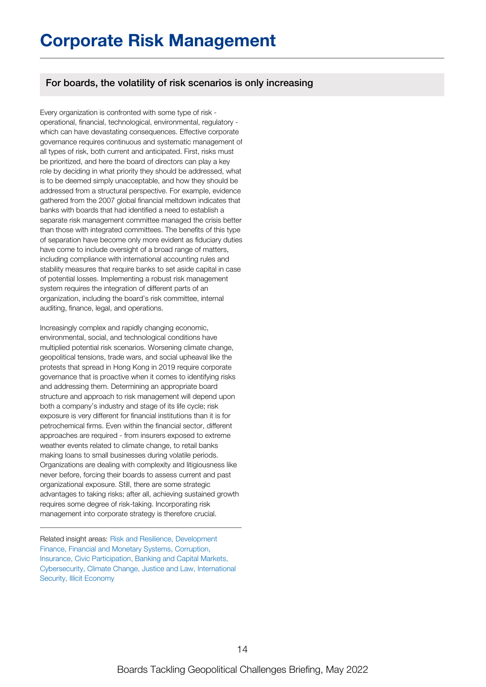## For boards, the volatility of risk scenarios is only increasing

Every organization is confronted with some type of risk operational, financial, technological, environmental, regulatory which can have devastating consequences. Effective corporate governance requires continuous and systematic management of all types of risk, both current and anticipated. First, risks must be prioritized, and here the board of directors can play a key role by deciding in what priority they should be addressed, what is to be deemed simply unacceptable, and how they should be addressed from a structural perspective. For example, evidence gathered from the 2007 global financial meltdown indicates that banks with boards that had identified a need to establish a separate risk management committee managed the crisis better than those with integrated committees. The benefits of this type of separation have become only more evident as fiduciary duties have come to include oversight of a broad range of matters, including compliance with international accounting rules and stability measures that require banks to set aside capital in case of potential losses. Implementing a robust risk management system requires the integration of different parts of an organization, including the board's risk committee, internal auditing, finance, legal, and operations.

Increasingly complex and rapidly changing economic, environmental, social, and technological conditions have multiplied potential risk scenarios. Worsening climate change, geopolitical tensions, trade wars, and social upheaval like the protests that spread in Hong Kong in 2019 require corporate governance that is proactive when it comes to identifying risks and addressing them. Determining an appropriate board structure and approach to risk management will depend upon both a company's industry and stage of its life cycle; risk exposure is very different for financial institutions than it is for petrochemical firms. Even within the financial sector, different approaches are required - from insurers exposed to extreme weather events related to climate change, to retail banks making loans to small businesses during volatile periods. Organizations are dealing with complexity and litigiousness like never before, forcing their boards to assess current and past organizational exposure. Still, there are some strategic advantages to taking risks; after all, achieving sustained growth requires some degree of risk-taking. Incorporating risk management into corporate strategy is therefore crucial.

Related insight areas: Risk and Resilience, Development Finance, Financial and Monetary Systems, Corruption, Insurance, Civic Participation, Banking and Capital Markets, Cybersecurity, Climate Change, Justice and Law, International Security, Illicit Economy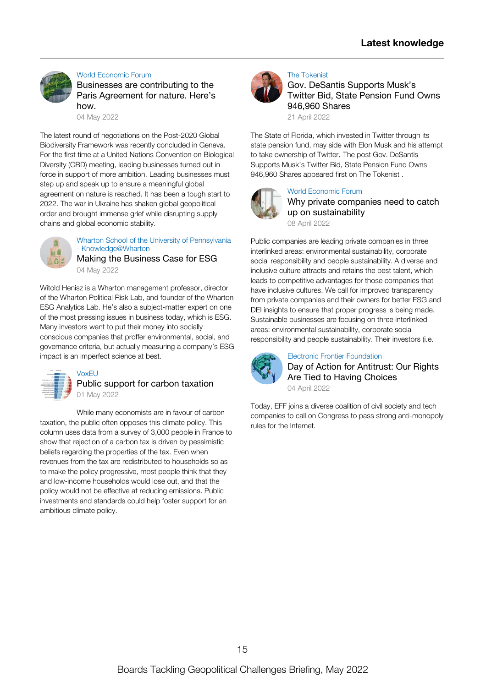#### World [Economic](https://www.weforum.org/agenda/2022/05/businesses-are-contributing-to-the-paris-agreement-for-nature-here-s-how/) Forum

Businesses are [contributing](https://www.weforum.org/agenda/2022/05/businesses-are-contributing-to-the-paris-agreement-for-nature-here-s-how/) to the Paris Agreement for nature. Here's how.

04 May [2022](https://www.weforum.org/agenda/2022/05/businesses-are-contributing-to-the-paris-agreement-for-nature-here-s-how/)

The latest round of [negotiations](https://www.weforum.org/agenda/2022/05/businesses-are-contributing-to-the-paris-agreement-for-nature-here-s-how/) on the Post-2020 Global Biodiversity Framework was recently concluded in Geneva. For the first time at a United Nations Convention on Biological Diversity (CBD) meeting, leading businesses turned out in force in support of more ambition. Leading businesses must step up and speak up to ensure a meaningful global agreement on nature is reached. It has been a tough start to 2022. The war in Ukraine has shaken global geopolitical order and brought immense grief while disrupting supply chains and global economic stability.



Wharton School of the University of Pennsylvania - [Knowledge@Wharton](https://knowledge.wharton.upenn.edu/article/making-the-business-case-for-esg/)

Making the [Business](https://knowledge.wharton.upenn.edu/article/making-the-business-case-for-esg/) Case for ESG 04 May [2022](https://knowledge.wharton.upenn.edu/article/making-the-business-case-for-esg/)

Witold Henisz is a Wharton management professor, director of the Wharton Political Risk Lab, and founder of the Wharton ESG Analytics Lab. He's also a subject-matter expert on one of the most pressing issues in business today, which is ESG. Many investors want to put their money into socially conscious companies that proffer [environmental,](https://knowledge.wharton.upenn.edu/article/making-the-business-case-for-esg/) social, and governance criteria, but actually measuring a company's ESG impact is an imperfect science at best.



## Public support for carbon [taxation](https://voxeu.org/article/public-support-carbon-taxation) 01 May [2022](https://voxeu.org/article/public-support-carbon-taxation)

While many economists are in favour of carbon taxation, the public often opposes this climate policy. This column uses data from a survey of 3,000 people in France to show that rejection of a carbon tax is driven by pessimistic beliefs regarding the properties of the tax. Even when revenues from the tax are [redistributed](https://voxeu.org/article/public-support-carbon-taxation) to households so as to make the policy progressive, most people think that they and low-income households would lose out, and that the policy would not be effective at reducing emissions. Public investments and standards could help foster support for an ambitious climate policy.



### The [Tokenist](https://tokenist.com/gov-desantis-supports-musks-twitter-bid-state-pension-fund-owns-946960-shares/?utm_source=rss&utm_medium=rss&utm_campaign=gov-desantis-supports-musks-twitter-bid-state-pension-fund-owns-946960-shares)

Gov. DeSantis [Supports](https://tokenist.com/gov-desantis-supports-musks-twitter-bid-state-pension-fund-owns-946960-shares/?utm_source=rss&utm_medium=rss&utm_campaign=gov-desantis-supports-musks-twitter-bid-state-pension-fund-owns-946960-shares) Musk's Twitter Bid, State Pension Fund Owns 946,960 Shares

21 April [2022](https://tokenist.com/gov-desantis-supports-musks-twitter-bid-state-pension-fund-owns-946960-shares/?utm_source=rss&utm_medium=rss&utm_campaign=gov-desantis-supports-musks-twitter-bid-state-pension-fund-owns-946960-shares)

The State of Florida, which invested in Twitter through its state pension fund, may side with Elon Musk and his attempt to take [ownership](https://tokenist.com/gov-desantis-supports-musks-twitter-bid-state-pension-fund-owns-946960-shares/?utm_source=rss&utm_medium=rss&utm_campaign=gov-desantis-supports-musks-twitter-bid-state-pension-fund-owns-946960-shares) of Twitter. The post Gov. DeSantis Supports Musk's Twitter Bid, State Pension Fund Owns 946,960 Shares appeared first on The Tokenist .



## World [Economic](https://www.weforum.org/agenda/2022/04/why-private-companies-need-to-catch-up-on-sustainability/) Forum

Why private companies need to catch up on [sustainability](https://www.weforum.org/agenda/2022/04/why-private-companies-need-to-catch-up-on-sustainability/)

08 April [2022](https://www.weforum.org/agenda/2022/04/why-private-companies-need-to-catch-up-on-sustainability/)

Public companies are leading private companies in three interlinked areas: [environmental](https://www.weforum.org/agenda/2022/04/why-private-companies-need-to-catch-up-on-sustainability/) sustainability, corporate social responsibility and people sustainability. A diverse and inclusive culture attracts and retains the best talent, which leads to competitive advantages for those companies that have inclusive cultures. We call for improved transparency from private companies and their owners for better ESG and DEI insights to ensure that proper progress is being made. Sustainable businesses are focusing on three interlinked areas: environmental sustainability, corporate social responsibility and people sustainability. Their investors (i.e.



## Electronic Frontier [Foundation](https://www.eff.org/deeplinks/2022/04/day-action-antitrust-our-rights-are-tied-having-choices)

Day of Action for [Antitrust:](https://www.eff.org/deeplinks/2022/04/day-action-antitrust-our-rights-are-tied-having-choices) Our Rights Are Tied to Having Choices 04 April [2022](https://www.eff.org/deeplinks/2022/04/day-action-antitrust-our-rights-are-tied-having-choices)

Today, EFF joins a diverse coalition of civil society and tech companies to call on Congress to pass strong [anti-monopoly](https://www.eff.org/deeplinks/2022/04/day-action-antitrust-our-rights-are-tied-having-choices) rules for the Internet.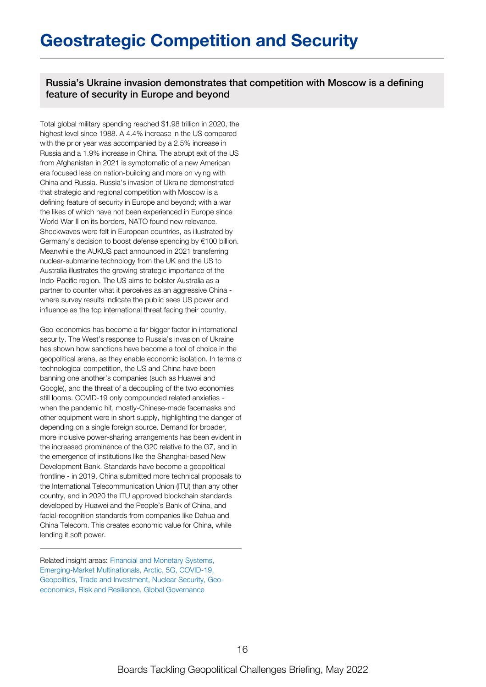## **Geostrategic Competition and Security**

Russia's Ukraine invasion demonstrates that competition with Moscow is a defining feature of security in Europe and beyond

Total global military spending reached \$1.98 trillion in 2020, the highest level since 1988. A 4.4% increase in the US compared with the prior year was accompanied by a 2.5% increase in Russia and a 1.9% increase in China. The abrupt exit of the US from Afghanistan in 2021 is symptomatic of a new American era focused less on nation-building and more on vying with China and Russia. Russia's invasion of Ukraine demonstrated that strategic and regional competition with Moscow is a defining feature of security in Europe and beyond; with a war the likes of which have not been experienced in Europe since World War II on its borders, NATO found new relevance. Shockwaves were felt in European countries, as illustrated by Germany's decision to boost defense spending by €100 billion. Meanwhile the AUKUS pact announced in 2021 transferring nuclear-submarine technology from the UK and the US to Australia illustrates the growing strategic importance of the Indo-Pacific region. The US aims to bolster Australia as a partner to counter what it perceives as an aggressive China where survey results indicate the public sees US power and influence as the top international threat facing their country.

Geo-economics has become a far bigger factor in international security. The West's response to Russia's invasion of Ukraine has shown how sanctions have become a tool of choice in the geopolitical arena, as they enable economic isolation. In terms of technological competition, the US and China have been banning one another's companies (such as Huawei and Google), and the threat of a decoupling of the two economies still looms. COVID-19 only compounded related anxieties when the pandemic hit, mostly-Chinese-made facemasks and other equipment were in short supply, highlighting the danger of depending on a single foreign source. Demand for broader, more inclusive power-sharing arrangements has been evident in the increased prominence of the G20 relative to the G7, and in the emergence of institutions like the Shanghai-based New Development Bank. Standards have become a geopolitical frontline - in 2019, China submitted more technical proposals to the International Telecommunication Union (ITU) than any other country, and in 2020 the ITU approved blockchain standards developed by Huawei and the People's Bank of China, and facial-recognition standards from companies like Dahua and China Telecom. This creates economic value for China, while lending it soft power.

Related insight areas: Financial and Monetary Systems, Emerging-Market Multinationals, Arctic, 5G, COVID-19, Geopolitics, Trade and Investment, Nuclear Security, Geoeconomics, Risk and Resilience, Global Governance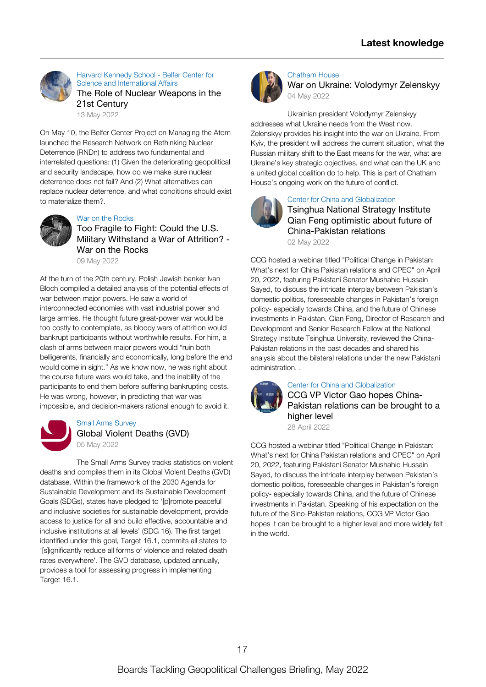

Harvard Kennedy School - Belfer Center for Science and [International](https://www.belfercenter.org/publication/role-nuclear-weapons-21st-century) Affairs The Role of Nuclear [Weapons](https://www.belfercenter.org/publication/role-nuclear-weapons-21st-century) in the 21st Century 13 May [2022](https://www.belfercenter.org/publication/role-nuclear-weapons-21st-century)

On May 10, the Belfer Center Project on Managing the Atom launched the Research Network on Rethinking Nuclear Deterrence (RNDn) to address two fundamental and interrelated questions: (1) Given the [deteriorating](https://www.belfercenter.org/publication/role-nuclear-weapons-21st-century) geopolitical and security landscape, how do we make sure nuclear deterrence does not fail? And (2) What alternatives can replace nuclear deterrence, and what conditions should exist to materialize them?.



#### War on the [Rocks](https://warontherocks.com/2022/05/too-fragile-to-fight-could-the-u-s-military-withstand-a-war-of-attrition/)

Too Fragile to Fight: Could the U.S. Military [Withstand](https://warontherocks.com/2022/05/too-fragile-to-fight-could-the-u-s-military-withstand-a-war-of-attrition/) a War of Attrition? - War on the Rocks

09 May [2022](https://warontherocks.com/2022/05/too-fragile-to-fight-could-the-u-s-military-withstand-a-war-of-attrition/)

At the turn of the 20th century, Polish Jewish banker Ivan Bloch compiled a detailed analysis of the potential effects of war between major powers. He saw a world of interconnected economies with vast industrial power and large armies. He thought future great-power war would be too costly to contemplate, as bloody wars of attrition would bankrupt participants without worthwhile results. For him, a clash of arms between major powers would "ruin both belligerents, financially and economically, long before the end would come in sight." As we know now, he was right about the course future wars would take, and the inability of the participants to end them before suffering bankrupting costs. He was wrong, however, in predicting that war was impossible, and [decision-makers](https://warontherocks.com/2022/05/too-fragile-to-fight-could-the-u-s-military-withstand-a-war-of-attrition/) rational enough to avoid it.



## Small Arms [Survey](https://www.smallarmssurvey.org/database/global-violent-deaths-gvd) Global Violent [Deaths](https://www.smallarmssurvey.org/database/global-violent-deaths-gvd) (GVD) 05 May [2022](https://www.smallarmssurvey.org/database/global-violent-deaths-gvd)

The Small Arms Survey tracks statistics on violent deaths and compiles them in its Global Violent Deaths (GVD) database. Within the framework of the 2030 Agenda for Sustainable Development and its Sustainable Development Goals (SDGs), states have pledged to '[p]romote peaceful and inclusive societies for sustainable [development,](https://www.smallarmssurvey.org/database/global-violent-deaths-gvd) provide access to justice for all and build effective, accountable and inclusive institutions at all levels' (SDG 16). The first target identified under this goal, Target 16.1, commits all states to '[s]ignificantly reduce all forms of violence and related death rates everywhere'. The GVD database, updated annually, provides a tool for assessing progress in implementing Target 16.1.



### [Chatham](https://www.youtube.com/watch?v=nZqYUJHsVDg) House

War on Ukraine: [Volodymyr](https://www.youtube.com/watch?v=nZqYUJHsVDg) Zelenskyy 04 May [2022](https://www.youtube.com/watch?v=nZqYUJHsVDg)

Ukrainian president Volodymyr Zelenskyy addresses what Ukraine needs from the West now. Zelenskyy provides his insight into the war on Ukraine. From Kyiv, the president will address the current situation, what the Russian military shift to the East means for the war, what are Ukraine's key strategic [objectives,](https://www.youtube.com/watch?v=nZqYUJHsVDg) and what can the UK and a united global coalition do to help. This is part of Chatham House's ongoing work on the future of conflict.



#### Center for China and [Globalization](https://www.youtube.com/watch?v=CXZI8k3gGX8)

Tsinghua National Strategy Institute Qian Feng optimistic about future of [China-Pakistan](https://www.youtube.com/watch?v=CXZI8k3gGX8) relations 02 May [2022](https://www.youtube.com/watch?v=CXZI8k3gGX8)

CCG hosted a webinar titled "Political Change in Pakistan: What's next for China Pakistan relations and CPEC" on April 20, 2022, featuring Pakistani Senator Mushahid Hussain Sayed, to discuss the intricate interplay between Pakistan's domestic politics, foreseeable changes in Pakistan's foreign policy- especially towards China, and the future of Chinese investments in Pakistan. Qian Feng, Director of Research and Development and Senior Research Fellow at the National Strategy Institute Tsinghua University, reviewed the China-Pakistan relations in the past decades and shared his analysis about the bilateral relations under the new Pakistani [administration.](https://www.youtube.com/watch?v=CXZI8k3gGX8) .



#### Center for China and [Globalization](https://www.youtube.com/watch?v=IQSawxknKes)

CCG VP Victor Gao hopes China-[Pakistan](https://www.youtube.com/watch?v=IQSawxknKes) relations can be brought to a higher level

28 April [2022](https://www.youtube.com/watch?v=IQSawxknKes)

CCG hosted a webinar titled "Political Change in Pakistan: What's next for China Pakistan relations and CPEC" on April 20, 2022, featuring Pakistani Senator Mushahid Hussain Sayed, to discuss the intricate interplay between Pakistan's domestic politics, foreseeable changes in Pakistan's foreign policy- especially towards China, and the future of Chinese investments in Pakistan. Speaking of his expectation on the future of the [Sino-Pakistan](https://www.youtube.com/watch?v=IQSawxknKes) relations, CCG VP Victor Gao hopes it can be brought to a higher level and more widely felt in the world.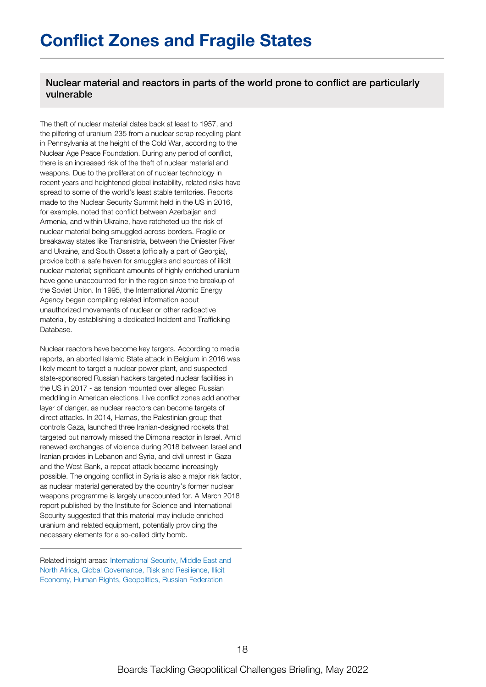Nuclear material and reactors in parts of the world prone to conflict are particularly vulnerable

The theft of nuclear material dates back at least to 1957, and the pilfering of uranium-235 from a nuclear scrap recycling plant in Pennsylvania at the height of the Cold War, according to the Nuclear Age Peace Foundation. During any period of conflict, there is an increased risk of the theft of nuclear material and weapons. Due to the proliferation of nuclear technology in recent years and heightened global instability, related risks have spread to some of the world's least stable territories. Reports made to the Nuclear Security Summit held in the US in 2016, for example, noted that conflict between Azerbaijan and Armenia, and within Ukraine, have ratcheted up the risk of nuclear material being smuggled across borders. Fragile or breakaway states like Transnistria, between the Dniester River and Ukraine, and South Ossetia (officially a part of Georgia), provide both a safe haven for smugglers and sources of illicit nuclear material; significant amounts of highly enriched uranium have gone unaccounted for in the region since the breakup of the Soviet Union. In 1995, the International Atomic Energy Agency began compiling related information about unauthorized movements of nuclear or other radioactive material, by establishing a dedicated Incident and Trafficking Database.

Nuclear reactors have become key targets. According to media reports, an aborted Islamic State attack in Belgium in 2016 was likely meant to target a nuclear power plant, and suspected state-sponsored Russian hackers targeted nuclear facilities in the US in 2017 - as tension mounted over alleged Russian meddling in American elections. Live conflict zones add another layer of danger, as nuclear reactors can become targets of direct attacks. In 2014, Hamas, the Palestinian group that controls Gaza, launched three Iranian-designed rockets that targeted but narrowly missed the Dimona reactor in Israel. Amid renewed exchanges of violence during 2018 between Israel and Iranian proxies in Lebanon and Syria, and civil unrest in Gaza and the West Bank, a repeat attack became increasingly possible. The ongoing conflict in Syria is also a major risk factor, as nuclear material generated by the country's former nuclear weapons programme is largely unaccounted for. A March 2018 report published by the Institute for Science and International Security suggested that this material may include enriched uranium and related equipment, potentially providing the necessary elements for a so-called dirty bomb.

Related insight areas: International Security, Middle East and North Africa, Global Governance, Risk and Resilience, Illicit Economy, Human Rights, Geopolitics, Russian Federation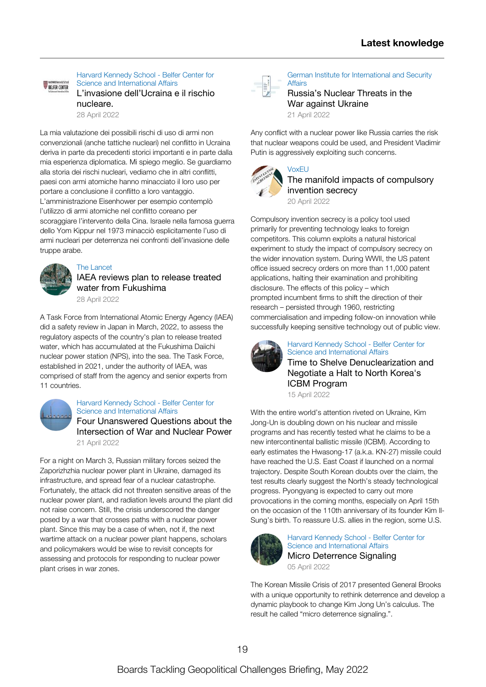Harvard Kennedy School - Belfer Center for Science and [International](https://www.belfercenter.org/publication/linvasione-dellucraina-e-il-rischio-nucleare) Affairs BELFER CENTER L'invasione [dell'Ucraina](https://www.belfercenter.org/publication/linvasione-dellucraina-e-il-rischio-nucleare) e il rischio nucleare.

28 April [2022](https://www.belfercenter.org/publication/linvasione-dellucraina-e-il-rischio-nucleare)

La mia valutazione dei possibili rischi di uso di armi non convenzionali (anche tattiche nucleari) nel conflitto in Ucraina deriva in parte da precedenti storici importanti e in parte dalla mia esperienza diplomatica. Mi spiego meglio. Se guardiamo alla storia dei rischi nucleari, vediamo che in altri conflitti, paesi con armi atomiche hanno minacciato il loro uso per portare a conclusione il conflitto a loro vantaggio. [L'amministrazione](https://www.belfercenter.org/publication/linvasione-dellucraina-e-il-rischio-nucleare) Eisenhower per esempio contemplò l'utilizzo di armi atomiche nel conflitto coreano per scoraggiare l'intervento della Cina. Israele nella famosa guerra dello Yom Kippur nel 1973 minacciò esplicitamente l'uso di armi nucleari per deterrenza nei confronti dell'invasione delle truppe arabe.



#### The [Lancet](https://www.thelancet.com/journals/lanonc/article/PIIS1470-2045(22)00206-6/abstract)

IAEA reviews plan to release treated water from [Fukushima](https://www.thelancet.com/journals/lanonc/article/PIIS1470-2045(22)00206-6/abstract) 28 April [2022](https://www.thelancet.com/journals/lanonc/article/PIIS1470-2045(22)00206-6/abstract)

A Task Force from International Atomic Energy Agency (IAEA) did a safety review in Japan in March, 2022, to assess the regulatory aspects of the country's plan to release treated water, which has [accumulated](https://www.thelancet.com/journals/lanonc/article/PIIS1470-2045(22)00206-6/abstract) at the Fukushima Daiichi nuclear power station (NPS), into the sea. The Task Force, established in 2021, under the authority of IAEA, was comprised of staff from the agency and senior experts from 11 countries.



## Harvard Kennedy School - Belfer Center for Science and [International](https://www.belfercenter.org/publication/four-unanswered-questions-about-intersection-war-and-nuclear-power) Affairs Four [Unanswered](https://www.belfercenter.org/publication/four-unanswered-questions-about-intersection-war-and-nuclear-power) Questions about the

Intersection of War and Nuclear Power 21 April [2022](https://www.belfercenter.org/publication/four-unanswered-questions-about-intersection-war-and-nuclear-power)

For a night on March 3, Russian military forces seized the Zaporizhzhia nuclear power plant in Ukraine, damaged its [infrastructure,](https://www.belfercenter.org/publication/four-unanswered-questions-about-intersection-war-and-nuclear-power) and spread fear of a nuclear catastrophe. Fortunately, the attack did not threaten sensitive areas of the nuclear power plant, and radiation levels around the plant did not raise concern. Still, the crisis underscored the danger posed by a war that crosses paths with a nuclear power plant. Since this may be a case of when, not if, the next wartime attack on a nuclear power plant happens, scholars and policymakers would be wise to revisit concepts for assessing and protocols for responding to nuclear power plant crises in war zones.



#### German Institute for [International](https://www.swp-berlin.org/en/10.18449/2022C29/) and Security **Affairs**

[Russia's](https://www.swp-berlin.org/en/10.18449/2022C29/) Nuclear Threats in the War against Ukraine 21 April [2022](https://www.swp-berlin.org/en/10.18449/2022C29/)

Any conflict with a nuclear power like Russia carries the risk that nuclear weapons could be used, and President Vladimir Putin is [aggressively](https://www.swp-berlin.org/en/10.18449/2022C29/) exploiting such concerns.



[VoxEU](https://voxeu.org/article/manifold-impacts-compulsory-invention-secrecy)

## The manifold impacts of [compulsory](https://voxeu.org/article/manifold-impacts-compulsory-invention-secrecy) invention secrecy 20 April [2022](https://voxeu.org/article/manifold-impacts-compulsory-invention-secrecy)

Compulsory invention secrecy is a policy tool used primarily for preventing technology leaks to foreign competitors. This column exploits a natural historical experiment to study the impact of compulsory secrecy on the wider innovation system. During WWII, the US patent office issued secrecy orders on more than 11,000 patent applications, halting their examination and prohibiting disclosure. The effects of this policy – which prompted incumbent firms to shift the direction of their research – persisted through 1960, restricting [commercialisation](https://voxeu.org/article/manifold-impacts-compulsory-invention-secrecy) and impeding follow-on innovation while successfully keeping sensitive technology out of public view.



## Harvard Kennedy School - Belfer Center for Science and [International](https://www.belfercenter.org/publication/time-shelve-denuclearization-and-negotiate-halt-north-koreas-icbm-program) Affairs

Time to Shelve [Denuclearization](https://www.belfercenter.org/publication/time-shelve-denuclearization-and-negotiate-halt-north-koreas-icbm-program) and Negotiate a Halt to North Korea's ICBM Program

15 April [2022](https://www.belfercenter.org/publication/time-shelve-denuclearization-and-negotiate-halt-north-koreas-icbm-program)

With the entire world's attention riveted on Ukraine, Kim Jong-Un is doubling down on his nuclear and missile programs and has recently tested what he claims to be a new [intercontinental](https://www.belfercenter.org/publication/time-shelve-denuclearization-and-negotiate-halt-north-koreas-icbm-program) ballistic missile (ICBM). According to early estimates the Hwasong-17 (a.k.a. KN-27) missile could have reached the U.S. East Coast if launched on a normal trajectory. Despite South Korean doubts over the claim, the test results clearly suggest the North's steady technological progress. Pyongyang is expected to carry out more provocations in the coming months, especially on April 15th on the occasion of the 110th anniversary of its founder Kim Il-Sung's birth. To reassure U.S. allies in the region, some U.S.



#### Harvard Kennedy School - Belfer Center for Science and [International](https://www.belfercenter.org/publication/micro-deterrence-signaling) Affairs Micro [Deterrence](https://www.belfercenter.org/publication/micro-deterrence-signaling) Signaling 05 April [2022](https://www.belfercenter.org/publication/micro-deterrence-signaling)

The Korean Missile Crisis of 2017 presented General Brooks with a unique [opportunity](https://www.belfercenter.org/publication/micro-deterrence-signaling) to rethink deterrence and develop a dynamic playbook to change Kim Jong Un's calculus. The result he called "micro deterrence signaling.".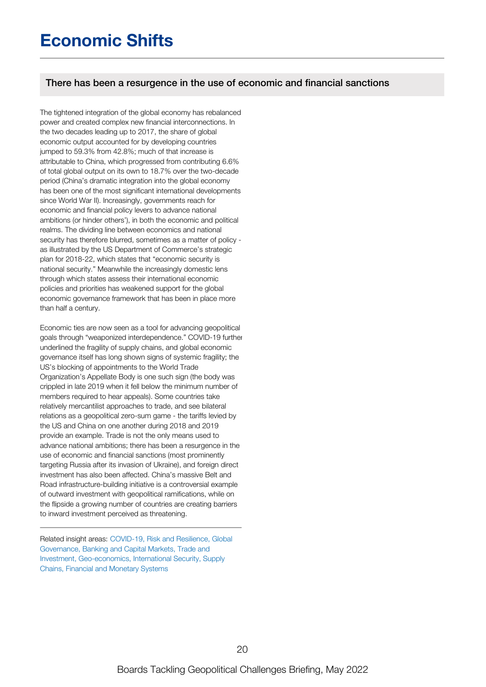## **Economic Shifts**

## There has been a resurgence in the use of economic and financial sanctions

The tightened integration of the global economy has rebalanced power and created complex new financial interconnections. In the two decades leading up to 2017, the share of global economic output accounted for by developing countries jumped to 59.3% from 42.8%; much of that increase is attributable to China, which progressed from contributing 6.6% of total global output on its own to 18.7% over the two-decade period (China's dramatic integration into the global economy has been one of the most significant international developments since World War II). Increasingly, governments reach for economic and financial policy levers to advance national ambitions (or hinder others'), in both the economic and political realms. The dividing line between economics and national security has therefore blurred, sometimes as a matter of policy as illustrated by the US Department of Commerce's strategic plan for 2018-22, which states that "economic security is national security." Meanwhile the increasingly domestic lens through which states assess their international economic policies and priorities has weakened support for the global economic governance framework that has been in place more than half a century.

Economic ties are now seen as a tool for advancing geopolitical goals through "weaponized interdependence." COVID-19 further underlined the fragility of supply chains, and global economic governance itself has long shown signs of systemic fragility; the US's blocking of appointments to the World Trade Organization's Appellate Body is one such sign (the body was crippled in late 2019 when it fell below the minimum number of members required to hear appeals). Some countries take relatively mercantilist approaches to trade, and see bilateral relations as a geopolitical zero-sum game - the tariffs levied by the US and China on one another during 2018 and 2019 provide an example. Trade is not the only means used to advance national ambitions; there has been a resurgence in the use of economic and financial sanctions (most prominently targeting Russia after its invasion of Ukraine), and foreign direct investment has also been affected. China's massive Belt and Road infrastructure-building initiative is a controversial example of outward investment with geopolitical ramifications, while on the flipside a growing number of countries are creating barriers to inward investment perceived as threatening.

Related insight areas: COVID-19, Risk and Resilience, Global Governance, Banking and Capital Markets, Trade and Investment, Geo-economics, International Security, Supply Chains, Financial and Monetary Systems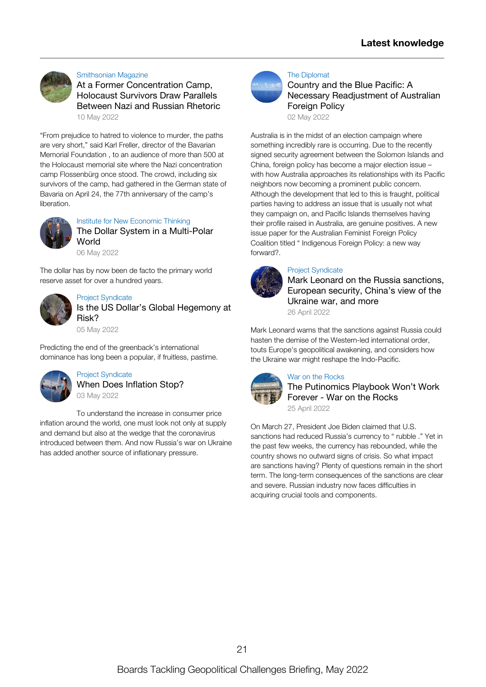

#### [Smithsonian](https://www.smithsonianmag.com/history/at-a-former-concentration-camp-holocaust-survivors-draw-parallels-between-nazi-and-russian-rhetoric-180980053/) Magazine

At a Former [Concentration](https://www.smithsonianmag.com/history/at-a-former-concentration-camp-holocaust-survivors-draw-parallels-between-nazi-and-russian-rhetoric-180980053/) Camp, Holocaust Survivors Draw Parallels Between Nazi and Russian Rhetoric 10 May [2022](https://www.smithsonianmag.com/history/at-a-former-concentration-camp-holocaust-survivors-draw-parallels-between-nazi-and-russian-rhetoric-180980053/)

"From prejudice to hatred to violence to murder, the paths are very short," said Karl Freller, director of the Bavarian Memorial Foundation , to an audience of more than 500 at the Holocaust memorial site where the Nazi [concentration](https://www.smithsonianmag.com/history/at-a-former-concentration-camp-holocaust-survivors-draw-parallels-between-nazi-and-russian-rhetoric-180980053/) camp Flossenbürg once stood. The crowd, including six survivors of the camp, had gathered in the German state of Bavaria on April 24, the 77th anniversary of the camp's liberation.



Institute for New [Economic](https://www.ineteconomics.org/perspectives/blog/the-dollar-system-in-a-multi-polar-world) Thinking The Dollar System in a [Multi-Polar](https://www.ineteconomics.org/perspectives/blog/the-dollar-system-in-a-multi-polar-world) World

06 May [2022](https://www.ineteconomics.org/perspectives/blog/the-dollar-system-in-a-multi-polar-world)

The dollar has by now been de facto the primary world reserve asset for over a [hundred](https://www.ineteconomics.org/perspectives/blog/the-dollar-system-in-a-multi-polar-world) years.



Project [Syndicate](https://www.project-syndicate.org/bigpicture/is-the-us-dollar-s-global-hegemony-at-risk) Is the US Dollar's Global [Hegemony](https://www.project-syndicate.org/bigpicture/is-the-us-dollar-s-global-hegemony-at-risk) at Risk?

05 May [2022](https://www.project-syndicate.org/bigpicture/is-the-us-dollar-s-global-hegemony-at-risk)

Predicting the end of the [greenback's](https://www.project-syndicate.org/bigpicture/is-the-us-dollar-s-global-hegemony-at-risk) international dominance has long been a popular, if fruitless, pastime.



Project [Syndicate](https://www.project-syndicate.org/commentary/what-caused-and-will-end-inflation-by-koichi-hamada-2022-05) When Does [Inflation](https://www.project-syndicate.org/commentary/what-caused-and-will-end-inflation-by-koichi-hamada-2022-05) Stop? 03 May [2022](https://www.project-syndicate.org/commentary/what-caused-and-will-end-inflation-by-koichi-hamada-2022-05)

To understand the increase in consumer price inflation around the world, one must look not only at supply and demand but also at the wedge that the [coronavirus](https://www.project-syndicate.org/commentary/what-caused-and-will-end-inflation-by-koichi-hamada-2022-05) introduced between them. And now Russia's war on Ukraine has added another source of inflationary pressure.



#### The [Diplomat](https://thediplomat.com/2022/05/country-and-the-blue-pacific-a-necessary-readjustment-of-australian-foreign-policy/)

Country and the Blue Pacific: A Necessary [Readjustment](https://thediplomat.com/2022/05/country-and-the-blue-pacific-a-necessary-readjustment-of-australian-foreign-policy/) of Australian Foreign Policy

02 May [2022](https://thediplomat.com/2022/05/country-and-the-blue-pacific-a-necessary-readjustment-of-australian-foreign-policy/)

Australia is in the midst of an election campaign where something incredibly rare is occurring. Due to the recently signed security agreement between the Solomon Islands and China, foreign policy has become a major election issue – with how Australia approaches its relationships with its Pacific neighbors now becoming a prominent public concern. Although the [development](https://thediplomat.com/2022/05/country-and-the-blue-pacific-a-necessary-readjustment-of-australian-foreign-policy/) that led to this is fraught, political parties having to address an issue that is usually not what they campaign on, and Pacific Islands themselves having their profile raised in Australia, are genuine positives. A new issue paper for the Australian Feminist Foreign Policy Coalition titled " Indigenous Foreign Policy: a new way forward?.



### Project [Syndicate](https://www.project-syndicate.org/say-more/an-interview-with-mark-leonard-1-2022-04)

Mark Leonard on the Russia [sanctions,](https://www.project-syndicate.org/say-more/an-interview-with-mark-leonard-1-2022-04) European security, China's view of the Ukraine war, and more

26 April [2022](https://www.project-syndicate.org/say-more/an-interview-with-mark-leonard-1-2022-04)

Mark Leonard warns that the sanctions against Russia could hasten the demise of the Western-led international order, touts Europe's geopolitical awakening, and considers how the Ukraine war might reshape the [Indo-Pacific.](https://www.project-syndicate.org/say-more/an-interview-with-mark-leonard-1-2022-04)



#### War on the [Rocks](https://warontherocks.com/2022/04/the-putinomics-playbook-wont-work-forever/)

The [Putinomics](https://warontherocks.com/2022/04/the-putinomics-playbook-wont-work-forever/) Playbook Won't Work Forever - War on the Rocks 25 April [2022](https://warontherocks.com/2022/04/the-putinomics-playbook-wont-work-forever/)

On March 27, President Joe Biden claimed that U.S. sanctions had reduced Russia's currency to " rubble ." Yet in the past few weeks, the currency has rebounded, while the country shows no outward signs of crisis. So what impact are sanctions having? Plenty of questions remain in the short term. The long-term [consequences](https://warontherocks.com/2022/04/the-putinomics-playbook-wont-work-forever/) of the sanctions are clear and severe. Russian industry now faces difficulties in acquiring crucial tools and components.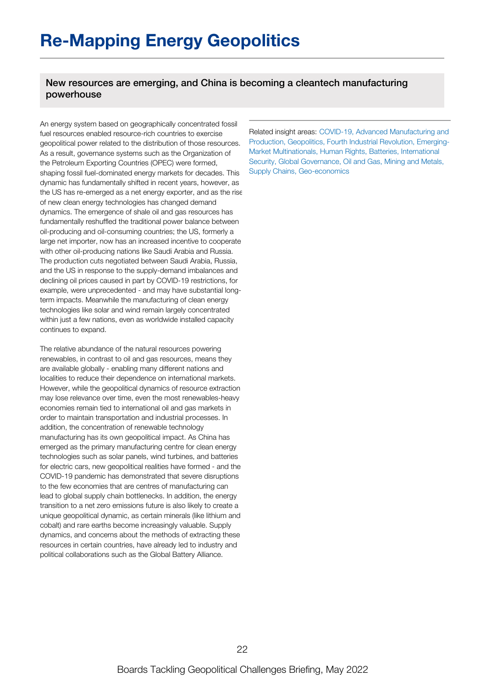## New resources are emerging, and China is becoming a cleantech manufacturing powerhouse

An energy system based on geographically concentrated fossil fuel resources enabled resource-rich countries to exercise geopolitical power related to the distribution of those resources. As a result, governance systems such as the Organization of the Petroleum Exporting Countries (OPEC) were formed, shaping fossil fuel-dominated energy markets for decades. This dynamic has fundamentally shifted in recent years, however, as the US has re-emerged as a net energy exporter, and as the rise of new clean energy technologies has changed demand dynamics. The emergence of shale oil and gas resources has fundamentally reshuffled the traditional power balance between oil-producing and oil-consuming countries; the US, formerly a large net importer, now has an increased incentive to cooperate with other oil-producing nations like Saudi Arabia and Russia. The production cuts negotiated between Saudi Arabia, Russia, and the US in response to the supply-demand imbalances and declining oil prices caused in part by COVID-19 restrictions, for example, were unprecedented - and may have substantial longterm impacts. Meanwhile the manufacturing of clean energy technologies like solar and wind remain largely concentrated within just a few nations, even as worldwide installed capacity continues to expand.

The relative abundance of the natural resources powering renewables, in contrast to oil and gas resources, means they are available globally - enabling many different nations and localities to reduce their dependence on international markets. However, while the geopolitical dynamics of resource extraction may lose relevance over time, even the most renewables-heavy economies remain tied to international oil and gas markets in order to maintain transportation and industrial processes. In addition, the concentration of renewable technology manufacturing has its own geopolitical impact. As China has emerged as the primary manufacturing centre for clean energy technologies such as solar panels, wind turbines, and batteries for electric cars, new geopolitical realities have formed - and the COVID-19 pandemic has demonstrated that severe disruptions to the few economies that are centres of manufacturing can lead to global supply chain bottlenecks. In addition, the energy transition to a net zero emissions future is also likely to create a unique geopolitical dynamic, as certain minerals (like lithium and cobalt) and rare earths become increasingly valuable. Supply dynamics, and concerns about the methods of extracting these resources in certain countries, have already led to industry and political collaborations such as the Global Battery Alliance.

Related insight areas: COVID-19, Advanced Manufacturing and Production, Geopolitics, Fourth Industrial Revolution, Emerging-Market Multinationals, Human Rights, Batteries, International Security, Global Governance, Oil and Gas, Mining and Metals, Supply Chains, Geo-economics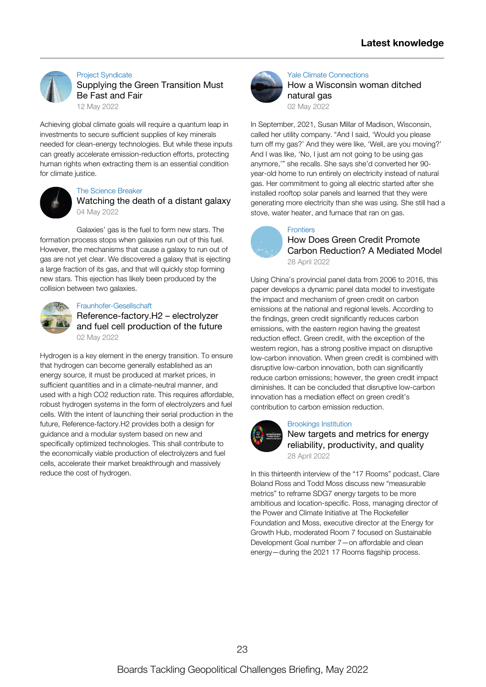

#### Project [Syndicate](https://www.project-syndicate.org/commentary/transition-minerals-respect-for-human-rights-by-mary-robinson-2022-05) [Supplying](https://www.project-syndicate.org/commentary/transition-minerals-respect-for-human-rights-by-mary-robinson-2022-05) the Green Transition Must Be Fast and Fair 12 May [2022](https://www.project-syndicate.org/commentary/transition-minerals-respect-for-human-rights-by-mary-robinson-2022-05)

Achieving global climate goals will require a quantum leap in investments to secure sufficient supplies of key minerals needed for clean-energy technologies. But while these inputs can greatly accelerate [emission-reduction](https://www.project-syndicate.org/commentary/transition-minerals-respect-for-human-rights-by-mary-robinson-2022-05) efforts, protecting human rights when extracting them is an essential condition for climate justice.



#### The [Science](https://thesciencebreaker.org/breaks/earth-space/watching-the-death-of-a-distant-galaxy) Breaker

[Watching](https://thesciencebreaker.org/breaks/earth-space/watching-the-death-of-a-distant-galaxy) the death of a distant galaxy 04 May [2022](https://thesciencebreaker.org/breaks/earth-space/watching-the-death-of-a-distant-galaxy)

Galaxies' gas is the fuel to form new stars. The formation process stops when galaxies run out of this fuel. However, the [mechanisms](https://thesciencebreaker.org/breaks/earth-space/watching-the-death-of-a-distant-galaxy) that cause a galaxy to run out of gas are not yet clear. We discovered a galaxy that is ejecting a large fraction of its gas, and that will quickly stop forming new stars. This ejection has likely been produced by the collision between two galaxies.



#### [Fraunhofer-Gesellschaft](https://www.fraunhofer.de/en/press/research-news/2022/may-2022/reference-factory-h-2-electrolyzer-and-fuel-cell-production-of-the-future.html)

[Reference-factory.H2](https://www.fraunhofer.de/en/press/research-news/2022/may-2022/reference-factory-h-2-electrolyzer-and-fuel-cell-production-of-the-future.html) – electrolyzer and fuel cell production of the future 02 May [2022](https://www.fraunhofer.de/en/press/research-news/2022/may-2022/reference-factory-h-2-electrolyzer-and-fuel-cell-production-of-the-future.html)

Hydrogen is a key element in the energy transition. To ensure that hydrogen can become generally established as an energy source, it must be produced at market prices, in sufficient quantities and in a climate-neutral manner, and used with a high CO2 reduction rate. This requires affordable, robust hydrogen systems in the form of electrolyzers and fuel cells. With the intent of launching their serial production in the future, [Reference-factory.H2](https://www.fraunhofer.de/en/press/research-news/2022/may-2022/reference-factory-h-2-electrolyzer-and-fuel-cell-production-of-the-future.html) provides both a design for guidance and a modular system based on new and specifically optimized technologies. This shall contribute to the economically viable production of electrolyzers and fuel cells, accelerate their market breakthrough and massively reduce the cost of hydrogen.



#### Yale Climate [Connections](https://yaleclimateconnections.org/2022/05/how-a-wisconsin-woman-ditched-natural-gas/) How a [Wisconsin](https://yaleclimateconnections.org/2022/05/how-a-wisconsin-woman-ditched-natural-gas/) woman ditched natural gas 02 May [2022](https://yaleclimateconnections.org/2022/05/how-a-wisconsin-woman-ditched-natural-gas/)

In September, 2021, Susan Millar of Madison, Wisconsin, called her utility company. "And I said, 'Would you please turn off my gas?' And they were like, 'Well, are you moving?' And I was like, 'No, I just am not going to be using gas anymore,'" she recalls. She says she'd converted her 90 year-old home to run entirely on electricity instead of natural gas. Her [commitment](https://yaleclimateconnections.org/2022/05/how-a-wisconsin-woman-ditched-natural-gas/) to going all electric started after she installed rooftop solar panels and learned that they were generating more electricity than she was using. She still had a stove, water heater, and furnace that ran on gas.



## **[Frontiers](https://www.frontiersin.org/article/10.3389/fenvs.2022.878060/full)**

How Does Green Credit Promote Carbon [Reduction?](https://www.frontiersin.org/article/10.3389/fenvs.2022.878060/full) A Mediated Model 28 April [2022](https://www.frontiersin.org/article/10.3389/fenvs.2022.878060/full)

Using China's provincial panel data from 2006 to 2016, this paper develops a dynamic panel data model to investigate the impact and mechanism of green credit on carbon emissions at the national and regional levels. According to the findings, green credit significantly reduces carbon emissions, with the eastern region having the greatest reduction effect. Green credit, with the exception of the western region, has a strong positive impact on disruptive low-carbon innovation. When green credit is combined with disruptive low-carbon innovation, both can significantly reduce carbon emissions; however, the green credit impact diminishes. It can be concluded that disruptive low-carbon innovation has a mediation effect on green credit's [contribution](https://www.frontiersin.org/article/10.3389/fenvs.2022.878060/full) to carbon emission reduction.



#### [Brookings](https://www.youtube.com/watch?v=JclwcE6ybbo) Institution

New targets and metrics for energy reliability, [productivity,](https://www.youtube.com/watch?v=JclwcE6ybbo) and quality 28 April [2022](https://www.youtube.com/watch?v=JclwcE6ybbo)

In this thirteenth interview of the "17 Rooms" podcast, Clare Boland Ross and Todd Moss discuss new "measurable metrics" to reframe SDG7 energy targets to be more ambitious and [location-specific.](https://www.youtube.com/watch?v=JclwcE6ybbo) Ross, managing director of the Power and Climate Initiative at The Rockefeller Foundation and Moss, executive director at the Energy for Growth Hub, moderated Room 7 focused on Sustainable Development Goal number 7—on affordable and clean energy—during the 2021 17 Rooms flagship process.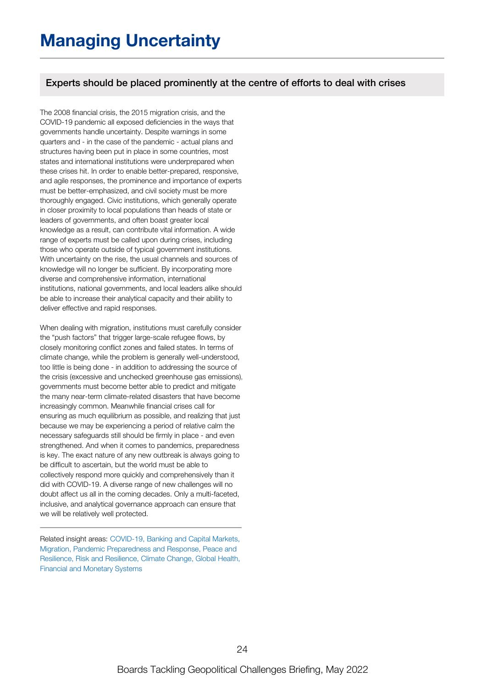## Experts should be placed prominently at the centre of efforts to deal with crises

The 2008 financial crisis, the 2015 migration crisis, and the COVID-19 pandemic all exposed deficiencies in the ways that governments handle uncertainty. Despite warnings in some quarters and - in the case of the pandemic - actual plans and structures having been put in place in some countries, most states and international institutions were underprepared when these crises hit. In order to enable better-prepared, responsive, and agile responses, the prominence and importance of experts must be better-emphasized, and civil society must be more thoroughly engaged. Civic institutions, which generally operate in closer proximity to local populations than heads of state or leaders of governments, and often boast greater local knowledge as a result, can contribute vital information. A wide range of experts must be called upon during crises, including those who operate outside of typical government institutions. With uncertainty on the rise, the usual channels and sources of knowledge will no longer be sufficient. By incorporating more diverse and comprehensive information, international institutions, national governments, and local leaders alike should be able to increase their analytical capacity and their ability to deliver effective and rapid responses.

When dealing with migration, institutions must carefully consider the "push factors" that trigger large-scale refugee flows, by closely monitoring conflict zones and failed states. In terms of climate change, while the problem is generally well-understood, too little is being done - in addition to addressing the source of the crisis (excessive and unchecked greenhouse gas emissions), governments must become better able to predict and mitigate the many near-term climate-related disasters that have become increasingly common. Meanwhile financial crises call for ensuring as much equilibrium as possible, and realizing that just because we may be experiencing a period of relative calm the necessary safeguards still should be firmly in place - and even strengthened. And when it comes to pandemics, preparedness is key. The exact nature of any new outbreak is always going to be difficult to ascertain, but the world must be able to collectively respond more quickly and comprehensively than it did with COVID-19. A diverse range of new challenges will no doubt affect us all in the coming decades. Only a multi-faceted, inclusive, and analytical governance approach can ensure that we will be relatively well protected.

Related insight areas: COVID-19, Banking and Capital Markets, Migration, Pandemic Preparedness and Response, Peace and Resilience, Risk and Resilience, Climate Change, Global Health, Financial and Monetary Systems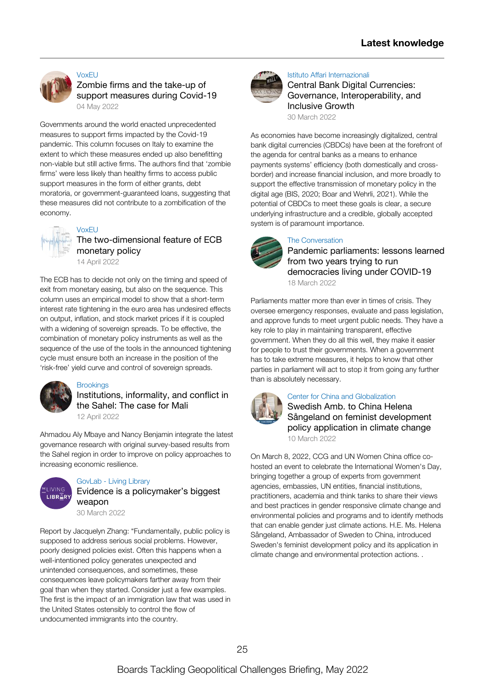

#### [VoxEU](https://voxeu.org/article/zombie-firms-and-take-support-measures-during-covid-19)

Zombie firms and the take-up of support [measures](https://voxeu.org/article/zombie-firms-and-take-support-measures-during-covid-19) during Covid-19 04 May [2022](https://voxeu.org/article/zombie-firms-and-take-support-measures-during-covid-19)

Governments around the world enacted unprecedented measures to support firms impacted by the Covid-19 pandemic. This column focuses on Italy to examine the extent to which these measures ended up also benefitting non-viable but still active firms. The authors find that 'zombie firms' were less likely than healthy firms to access public support measures in the form of either grants, debt moratoria, or [government-guaranteed](https://voxeu.org/article/zombie-firms-and-take-support-measures-during-covid-19) loans, suggesting that these measures did not contribute to a zombification of the economy.



## [VoxEU](https://voxeu.org/article/two-dimensional-feature-ecb-monetary-policy)

## The [two-dimensional](https://voxeu.org/article/two-dimensional-feature-ecb-monetary-policy) feature of ECB monetary policy

14 April [2022](https://voxeu.org/article/two-dimensional-feature-ecb-monetary-policy)

The ECB has to decide not only on the timing and speed of exit from monetary easing, but also on the sequence. This column uses an empirical model to show that a short-term interest rate tightening in the euro area has undesired effects on output, inflation, and stock market prices if it is coupled with a widening of sovereign spreads. To be effective, the [combination](https://voxeu.org/article/two-dimensional-feature-ecb-monetary-policy) of monetary policy instruments as well as the sequence of the use of the tools in the announced tightening cycle must ensure both an increase in the position of the 'risk-free' yield curve and control of sovereign spreads.



#### **[Brookings](https://www.brookings.edu/research/institutions-informality-and-conflict-in-the-sahel-the-case-for-mali/)**

[Institutions,](https://www.brookings.edu/research/institutions-informality-and-conflict-in-the-sahel-the-case-for-mali/) informality, and conflict in the Sahel: The case for Mali

12 April [2022](https://www.brookings.edu/research/institutions-informality-and-conflict-in-the-sahel-the-case-for-mali/)

Ahmadou Aly Mbaye and Nancy Benjamin integrate the latest governance research with original [survey-based](https://www.brookings.edu/research/institutions-informality-and-conflict-in-the-sahel-the-case-for-mali/) results from the Sahel region in order to improve on policy approaches to increasing economic resilience.



#### [GovLab](https://thelivinglib.org/evidence-is-a-policymakers-biggest-weapon/) - Living Library

Evidence is a [policymaker's](https://thelivinglib.org/evidence-is-a-policymakers-biggest-weapon/) biggest weapon

30 [March](https://thelivinglib.org/evidence-is-a-policymakers-biggest-weapon/) 2022

Report by Jacquelyn Zhang: ["Fundamentally,](https://thelivinglib.org/evidence-is-a-policymakers-biggest-weapon/) public policy is supposed to address serious social problems. However, poorly designed policies exist. Often this happens when a well-intentioned policy generates unexpected and unintended consequences, and sometimes, these consequences leave policymakers farther away from their goal than when they started. Consider just a few examples. The first is the impact of an immigration law that was used in the United States ostensibly to control the flow of undocumented immigrants into the country.



#### Istituto Affari [Internazionali](https://www.iai.it/en/pubblicazioni/central-bank-digital-currencies-governance-interoperability-and-inclusive-growth)

Central Bank Digital Currencies: Governance, [Interoperability,](https://www.iai.it/en/pubblicazioni/central-bank-digital-currencies-governance-interoperability-and-inclusive-growth) and Inclusive Growth

30 [March](https://www.iai.it/en/pubblicazioni/central-bank-digital-currencies-governance-interoperability-and-inclusive-growth) 2022

As economies have become increasingly digitalized, central bank digital currencies (CBDCs) have been at the forefront of the agenda for central banks as a means to enhance payments systems' efficiency (both domestically and crossborder) and increase financial inclusion, and more broadly to support the effective transmission of monetary policy in the digital age (BIS, 2020; Boar and Wehrli, 2021). While the potential of CBDCs to meet these goals is clear, a secure underlying [infrastructure](https://www.iai.it/en/pubblicazioni/central-bank-digital-currencies-governance-interoperability-and-inclusive-growth) and a credible, globally accepted system is of paramount importance.

#### The [Conversation](https://theconversation.com/pandemic-parliaments-lessons-learned-from-two-years-trying-to-run-democracies-living-under-covid-19-177964)



Pandemic parliaments: lessons learned from two years trying to run [democracies](https://theconversation.com/pandemic-parliaments-lessons-learned-from-two-years-trying-to-run-democracies-living-under-covid-19-177964) living under COVID-19 18 [March](https://theconversation.com/pandemic-parliaments-lessons-learned-from-two-years-trying-to-run-democracies-living-under-covid-19-177964) 2022

Parliaments matter more than ever in times of crisis. They oversee emergency responses, evaluate and pass legislation, and approve funds to meet urgent public needs. They have a key role to play in maintaining transparent, effective government. When they do all this well, they make it easier for people to trust their [governments.](https://theconversation.com/pandemic-parliaments-lessons-learned-from-two-years-trying-to-run-democracies-living-under-covid-19-177964) When a government has to take extreme measures, it helps to know that other parties in parliament will act to stop it from going any further than is absolutely necessary.



#### Center for China and [Globalization](https://www.youtube.com/watch?v=wi2z6XFH1RM)

Swedish Amb. to China Helena Sångeland on feminist [development](https://www.youtube.com/watch?v=wi2z6XFH1RM) policy application in climate change 10 [March](https://www.youtube.com/watch?v=wi2z6XFH1RM) 2022

On March 8, 2022, CCG and UN Women China office cohosted an event to celebrate the International Women's Day, bringing together a group of experts from government agencies, embassies, UN entities, financial institutions, practitioners, academia and think tanks to share their views and best practices in gender responsive climate change and [environmental](https://www.youtube.com/watch?v=wi2z6XFH1RM) policies and programs and to identify methods that can enable gender just climate actions. H.E. Ms. Helena Sångeland, Ambassador of Sweden to China, introduced Sweden's feminist development policy and its application in climate change and environmental protection actions. .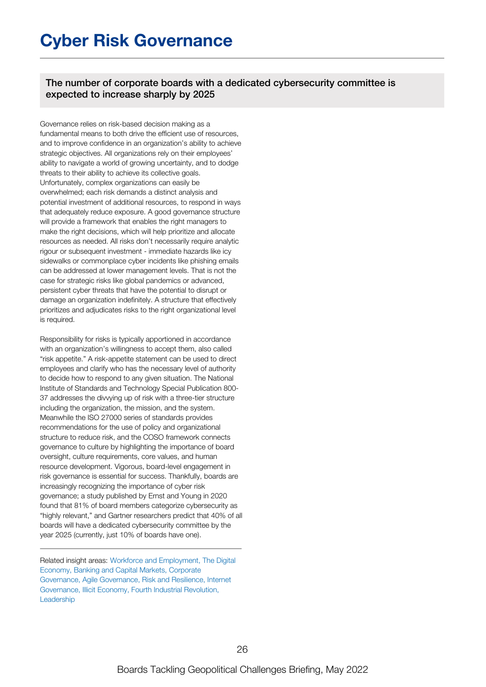## **Cyber Risk Governance**

The number of corporate boards with a dedicated cybersecurity committee is expected to increase sharply by 2025

Governance relies on risk-based decision making as a fundamental means to both drive the efficient use of resources, and to improve confidence in an organization's ability to achieve strategic objectives. All organizations rely on their employees' ability to navigate a world of growing uncertainty, and to dodge threats to their ability to achieve its collective goals. Unfortunately, complex organizations can easily be overwhelmed; each risk demands a distinct analysis and potential investment of additional resources, to respond in ways that adequately reduce exposure. A good governance structure will provide a framework that enables the right managers to make the right decisions, which will help prioritize and allocate resources as needed. All risks don't necessarily require analytic rigour or subsequent investment - immediate hazards like icy sidewalks or commonplace cyber incidents like phishing emails can be addressed at lower management levels. That is not the case for strategic risks like global pandemics or advanced, persistent cyber threats that have the potential to disrupt or damage an organization indefinitely. A structure that effectively prioritizes and adjudicates risks to the right organizational level is required.

Responsibility for risks is typically apportioned in accordance with an organization's willingness to accept them, also called "risk appetite." A risk-appetite statement can be used to direct employees and clarify who has the necessary level of authority to decide how to respond to any given situation. The National Institute of Standards and Technology Special Publication 800- 37 addresses the divvying up of risk with a three-tier structure including the organization, the mission, and the system. Meanwhile the ISO 27000 series of standards provides recommendations for the use of policy and organizational structure to reduce risk, and the COSO framework connects governance to culture by highlighting the importance of board oversight, culture requirements, core values, and human resource development. Vigorous, board-level engagement in risk governance is essential for success. Thankfully, boards are increasingly recognizing the importance of cyber risk governance; a study published by Ernst and Young in 2020 found that 81% of board members categorize cybersecurity as "highly relevant," and Gartner researchers predict that 40% of all boards will have a dedicated cybersecurity committee by the year 2025 (currently, just 10% of boards have one).

Related insight areas: Workforce and Employment. The Digital Economy, Banking and Capital Markets, Corporate Governance, Agile Governance, Risk and Resilience, Internet Governance, Illicit Economy, Fourth Industrial Revolution, **Leadership**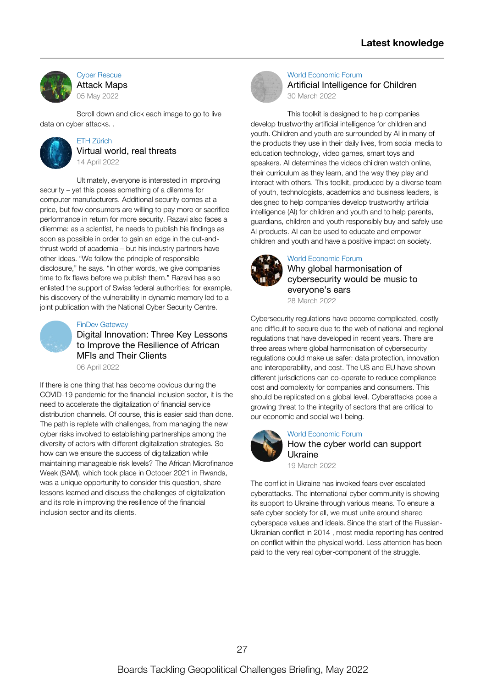

Cyber [Rescue](https://www.cyberrescue.co.uk/library/map) [Attack](https://www.cyberrescue.co.uk/library/map) Maps 05 May [2022](https://www.cyberrescue.co.uk/library/map)

Scroll down and click each image to go to live data on cyber [attacks.](https://www.cyberrescue.co.uk/library/map) .



#### ETH [Zürich](https://ethz.ch/en/news-and-events/eth-news/news/2022/04/globe-virtual-world-real-threats.html) Virtual world, real [threats](https://ethz.ch/en/news-and-events/eth-news/news/2022/04/globe-virtual-world-real-threats.html) 14 April [2022](https://ethz.ch/en/news-and-events/eth-news/news/2022/04/globe-virtual-world-real-threats.html)

Ultimately, everyone is interested in improving security – yet this poses something of a dilemma for computer [manufacturers.](https://ethz.ch/en/news-and-events/eth-news/news/2022/04/globe-virtual-world-real-threats.html) Additional security comes at a price, but few consumers are willing to pay more or sacrifice performance in return for more security. Razavi also faces a dilemma: as a scientist, he needs to publish his findings as soon as possible in order to gain an edge in the cut-andthrust world of academia – but his industry partners have other ideas. "We follow the principle of responsible disclosure," he says. "In other words, we give companies time to fix flaws before we publish them." Razavi has also enlisted the support of Swiss federal authorities: for example, his discovery of the vulnerability in dynamic memory led to a joint publication with the National Cyber Security Centre.



#### FinDev [Gateway](https://www.findevgateway.org/blog/2022/04/digital-innovation-three-key-lessons-improve-resilience-african-mfis-and-their-clients)

Digital [Innovation:](https://www.findevgateway.org/blog/2022/04/digital-innovation-three-key-lessons-improve-resilience-african-mfis-and-their-clients) Three Key Lessons to Improve the Resilience of African MFIs and Their Clients 06 April [2022](https://www.findevgateway.org/blog/2022/04/digital-innovation-three-key-lessons-improve-resilience-african-mfis-and-their-clients)

If there is one thing that has become obvious during the COVID-19 pandemic for the financial inclusion sector, it is the need to accelerate the digitalization of financial service distribution channels. Of course, this is easier said than done. The path is replete with challenges, from managing the new cyber risks involved to establishing partnerships among the diversity of actors with different digitalization strategies. So how can we ensure the success of digitalization while maintaining manageable risk levels? The African [Microfinance](https://www.findevgateway.org/blog/2022/04/digital-innovation-three-key-lessons-improve-resilience-african-mfis-and-their-clients) Week (SAM), which took place in October 2021 in Rwanda, was a unique opportunity to consider this question, share lessons learned and discuss the challenges of digitalization and its role in improving the resilience of the financial inclusion sector and its clients.



#### World [Economic](https://www.weforum.org/reports/artificial-intelligence-for-children/) Forum Artificial [Intelligence](https://www.weforum.org/reports/artificial-intelligence-for-children/) for Children 30 [March](https://www.weforum.org/reports/artificial-intelligence-for-children/) 2022

This toolkit is designed to help companies develop trustworthy artificial intelligence for children and youth. Children and youth are surrounded by AI in many of the products they use in their daily lives, from social media to education technology, video games, smart toys and speakers. AI determines the videos children watch online, their curriculum as they learn, and the way they play and interact with others. This toolkit, produced by a diverse team of youth, [technologists,](https://www.weforum.org/reports/artificial-intelligence-for-children/) academics and business leaders, is designed to help companies develop trustworthy artificial intelligence (AI) for children and youth and to help parents, guardians, children and youth responsibly buy and safely use AI products. AI can be used to educate and empower children and youth and have a positive impact on society.



### World [Economic](https://www.weforum.org/agenda/2022/03/why-global-harmonisation-of-cybersecurity-regulations-would-be-like-music-to-our-ears/) Forum

Why global [harmonisation](https://www.weforum.org/agenda/2022/03/why-global-harmonisation-of-cybersecurity-regulations-would-be-like-music-to-our-ears/) of cybersecurity would be music to everyone's ears 28 [March](https://www.weforum.org/agenda/2022/03/why-global-harmonisation-of-cybersecurity-regulations-would-be-like-music-to-our-ears/) 2022

Cybersecurity regulations have become complicated, costly and difficult to secure due to the web of national and regional regulations that have developed in recent years. There are three areas where global harmonisation of cybersecurity regulations could make us safer: data protection, innovation and [interoperability,](https://www.weforum.org/agenda/2022/03/why-global-harmonisation-of-cybersecurity-regulations-would-be-like-music-to-our-ears/) and cost. The US and EU have shown different jurisdictions can co-operate to reduce compliance cost and complexity for companies and consumers. This should be replicated on a global level. Cyberattacks pose a growing threat to the integrity of sectors that are critical to our economic and social well-being.



#### World [Economic](https://www.weforum.org/agenda/2022/03/how-the-cyber-world-can-support-ukraine/) Forum

How the cyber world can [support](https://www.weforum.org/agenda/2022/03/how-the-cyber-world-can-support-ukraine/) Ukraine

19 [March](https://www.weforum.org/agenda/2022/03/how-the-cyber-world-can-support-ukraine/) 2022

The conflict in Ukraine has invoked fears over escalated cyberattacks. The international cyber community is showing its support to Ukraine through various means. To ensure a safe cyber society for all, we must unite around shared cyberspace values and ideals. Since the start of the Russian-Ukrainian conflict in 2014 , most media reporting has centred on conflict within the physical world. Less attention has been paid to the very real [cyber-component](https://www.weforum.org/agenda/2022/03/how-the-cyber-world-can-support-ukraine/) of the struggle.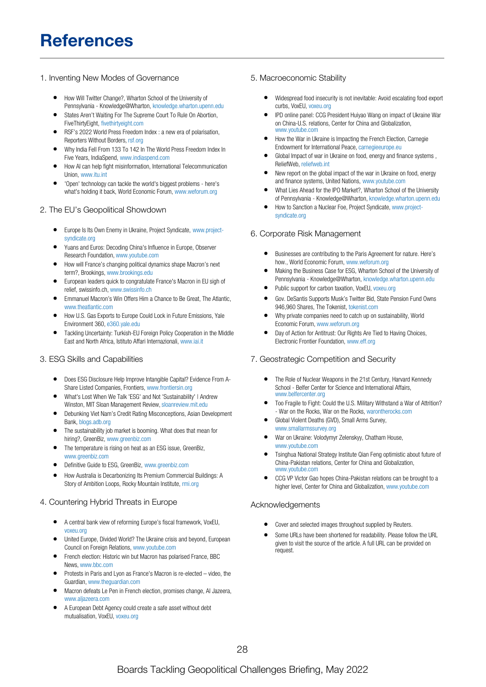## **References**

#### 1. Inventing New Modes of Governance

- How Will Twitter Change?, Wharton School of the University of  $\bullet$ Pennsylvania - Knowledge@Wharton, [knowledge.wharton.upenn.edu](https://knowledge.wharton.upenn.edu/article/how-will-twitter-change/)
- States Aren't Waiting For The Supreme Court To Rule On Abortion, FiveThirtyEight, [fivethirtyeight.com](https://fivethirtyeight.com/features/states-arent-waiting-for-the-supreme-court-to-rule-on-abortion/)
- RSF's 2022 World Press Freedom Index : a new era of polarisation, Reporters Without Borders, [rsf.org](https://rsf.org/en/rsf%25E2%2580%2599s-2022-world-press-freedom-index-new-era-polarisation)
- Why India Fell From 133 To 142 In The World Press Freedom Index In Five Years, IndiaSpend, [www.indiaspend.com](https://www.indiaspend.com/governance/why-india-fell-from-133-to-142-in-the-world-press-freedom-index-in-five-years-815880)
- How AI can help fight misinformation, International Telecommunication Union, [www.itu.int](https://www.itu.int/hub/2022/05/ai-can-help-fight-misinformation/)
- 'Open' technology can tackle the world's biggest problems here's what's holding it back, World Economic Forum, [www.weforum.org](https://www.weforum.org/agenda/2022/05/digital-public-goods-open-source-technology-ecosystem/)

#### 2. The EU's Geopolitical Showdown

- $\bullet$ Europe Is Its Own Enemy in Ukraine, Project Syndicate, [www.project](https://www.project-syndicate.org/commentary/europe-financing-putin-war-that-targets-europe-by-simon-johnson-2022-05)syndicate.org
- Yuans and Euros: Decoding China's Influence in Europe, Observer Research Foundation, [www.youtube.com](https://www.youtube.com/watch?v=N391wooJp6M)
- How will France's changing political dynamics shape Macron's next term?, Brookings, [www.brookings.edu](https://www.brookings.edu/podcast-episode/how-will-frances-changing-political-dynamics-shape-macrons-next-term/)
- European leaders quick to congratulate France's Macron in EU sigh of relief, swissinfo.ch, [www.swissinfo.ch](https://www.swissinfo.ch/eng/reuters/european-leaders-quick-to-congratulate-france-s-macron-in-eu-sigh-of-relief/47541288)
- Emmanuel Macron's Win Offers Him a Chance to Be Great, The Atlantic, [www.theatlantic.com](https://www.theatlantic.com/international/archive/2022/04/france-presidential-election-results-macron-wins/629664/)
- How U.S. Gas Exports to Europe Could Lock in Future Emissions, Yale Environment 360, [e360.yale.edu](https://e360.yale.edu/features/how-u.s.-gas-exports-to-europe-could-lock-in-future-emissions)
- Tackling Uncertainty: Turkish-EU Foreign Policy Cooperation in the Middle East and North Africa, Istituto Affari Internazionali, [www.iai.it](https://www.iai.it/en/eventi/tackling-uncertainty-turkish-eu-foreign-policy-cooperation-middle-east-and-north-africa)

#### 3. ESG Skills and Capabilities

- Does ESG Disclosure Help Improve Intangible Capital? Evidence From A-Share Listed Companies, Frontiers, [www.frontiersin.org](https://www.frontiersin.org/article/10.3389/fenvs.2022.858548/full)
- What's Lost When We Talk 'ESG' and Not 'Sustainability' | Andrew Winston, MIT Sloan Management Review, [sloanreview.mit.edu](https://sloanreview.mit.edu/article/whats-lost-when-we-talk-esg-and-not-sustainability/)
- Debunking Viet Nam's Credit Rating Misconceptions, Asian Development Bank, [blogs.adb.org](https://blogs.adb.org/debunking-vietnams-credit-rating-misconceptions)
- The sustainability job market is booming. What does that mean for hiring?, GreenBiz, [www.greenbiz.com](https://www.greenbiz.com/article/sustainability-job-market-booming-what-does-mean-hiring)
- The temperature is rising on heat as an ESG issue, GreenBiz, [www.greenbiz.com](https://www.greenbiz.com/article/temperature-rising-heat-esg-issue)
- Definitive Guide to ESG, GreenBiz, [www.greenbiz.com](https://www.greenbiz.com/report/definitive-guide-esg)
- How Australia is Decarbonizing Its Premium Commercial Buildings: A Story of Ambition Loops, Rocky Mountain Institute, [rmi.org](https://rmi.org/australia-is-decarbonizing-its-premium-commercial-buildings/)

#### 4. Countering Hybrid Threats in Europe

- A central bank view of reforming Europe's fiscal framework, VoxEU, [voxeu.org](https://voxeu.org/article/central-bank-view-reforming-europe-s-fiscal-framework)
- United Europe, Divided World? The Ukraine crisis and beyond, European Council on Foreign Relations, [www.youtube.com](https://www.youtube.com/watch?v=jvL3rZ1xhEE)
- French election: Historic win but Macron has polarised France, BBC News, [www.bbc.com](https://www.bbc.com/news/world-europe-61209765)
- Protests in Paris and Lyon as France's Macron is re-elected video, the Guardian, [www.theguardian.com](https://www.theguardian.com/world/video/2022/apr/25/protests-in-paris-and-lyon-as-frances-macron-re-elected-video)
- Macron defeats Le Pen in French election, promises change, Al Jazeera, [www.aljazeera.com](https://www.aljazeera.com/news/2022/4/24/french-election-2022-macron-defeats-le-pen-projections)
- A European Debt Agency could create a safe asset without debt mutualisation, VoxEU, [voxeu.org](https://voxeu.org/article/european-debt-agency-could-create-safe-asset-without-debt-mutualisation)

#### 5. Macroeconomic Stability

- $\bullet$ Widespread food insecurity is not inevitable: Avoid escalating food export curbs, VoxEU, voxeu org
- IPD online panel: CCG President Huiyao Wang on impact of Ukraine War on China-U.S. relations, Center for China and Globalization, [www.youtube.com](https://www.youtube.com/watch?v=uit-23u7umw)
- How the War in Ukraine is Impacting the French Election, Carnegie Endowment for International Peace, [carnegieeurope.eu](https://carnegieeurope.eu/strategiceurope/86887?utm_source=rss&utm_medium=rss)
- Global Impact of war in Ukraine on food, energy and finance systems , ReliefWeb, [reliefweb.int](https://reliefweb.int/report/world/global-impact-war-ukraine-food-energy-and-finance-systems)
- New report on the global impact of the war in Ukraine on food, energy and finance systems, United Nations, [www.youtube.com](https://www.youtube.com/watch?v=noeYVNroTAo)
- What Lies Ahead for the IPO Market?, Wharton School of the University of Pennsylvania - Knowledge@Wharton, [knowledge.wharton.upenn.edu](https://knowledge.wharton.upenn.edu/article/what-lies-ahead-for-the-ipo-market/)
- How to Sanction a Nuclear Foe, Project Syndicate, [www.project](https://www.project-syndicate.org/commentary/eu-ban-on-russian-energy-highlights-sanctions-limits-by-ana-palacio-2022-04)syndicate.org

#### 6. Corporate Risk Management

- Businesses are contributing to the Paris Agreement for nature. Here's how., World Economic Forum, [www.weforum.org](https://www.weforum.org/agenda/2022/05/businesses-are-contributing-to-the-paris-agreement-for-nature-here-s-how/)
- Making the Business Case for ESG, Wharton School of the University of Pennsylvania - Knowledge@Wharton, [knowledge.wharton.upenn.edu](https://knowledge.wharton.upenn.edu/article/making-the-business-case-for-esg/)
- Public support for carbon taxation, VoxEU, [voxeu.org](https://voxeu.org/article/public-support-carbon-taxation)
- Gov. DeSantis Supports Musk's Twitter Bid, State Pension Fund Owns 946,960 Shares, The Tokenist, [tokenist.com](https://tokenist.com/gov-desantis-supports-musks-twitter-bid-state-pension-fund-owns-946960-shares/?utm_source=rss&utm_medium=rss&utm_campaign=gov-desantis-supports-musks-twitter-bid-state-pension-fund-owns-946960-shares)
- Why private companies need to catch up on sustainability, World Economic Forum, [www.weforum.org](https://www.weforum.org/agenda/2022/04/why-private-companies-need-to-catch-up-on-sustainability/)
- Day of Action for Antitrust: Our Rights Are Tied to Having Choices, Electronic Frontier Foundation, [www.eff.org](https://www.eff.org/deeplinks/2022/04/day-action-antitrust-our-rights-are-tied-having-choices)

#### 7. Geostrategic Competition and Security

- The Role of Nuclear Weapons in the 21st Century, Harvard Kennedy School - Belfer Center for Science and International Affairs, [www.belfercenter.org](https://www.belfercenter.org/publication/role-nuclear-weapons-21st-century)
- Too Fragile to Fight: Could the U.S. Military Withstand a War of Attrition? - War on the Rocks, War on the Rocks, [warontherocks.com](https://warontherocks.com/2022/05/too-fragile-to-fight-could-the-u-s-military-withstand-a-war-of-attrition/)
- Global Violent Deaths (GVD), Small Arms Survey, [www.smallarmssurvey.org](https://www.smallarmssurvey.org/database/global-violent-deaths-gvd)
- War on Ukraine: Volodymyr Zelenskyy, Chatham House, [www.youtube.com](https://www.youtube.com/watch?v=nZqYUJHsVDg)
- Tsinghua National Strategy Institute Qian Feng optimistic about future of China-Pakistan relations, Center for China and Globalization, [www.youtube.com](https://www.youtube.com/watch?v=CXZI8k3gGX8)
- CCG VP Victor Gao hopes China-Pakistan relations can be brought to a higher level, Center for China and Globalization, [www.youtube.com](https://www.youtube.com/watch?v=IQSawxknKes)

#### Acknowledgements

- Cover and selected images throughout supplied by Reuters.
- Some URLs have been shortened for readability. Please follow the URL given to visit the source of the article. A full URL can be provided on request.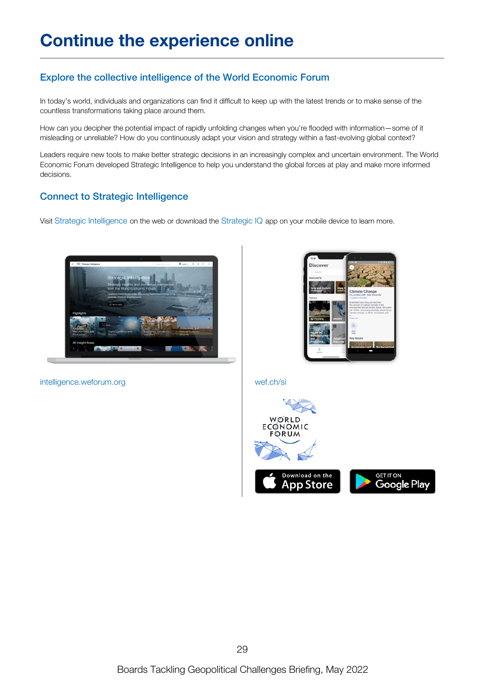## Explore the collective intelligence of the World Economic Forum

In today's world, individuals and organizations can find it difficult to keep up with the latest trends or to make sense of the countless transformations taking place around them.

How can you decipher the potential impact of rapidly unfolding changes when you're flooded with information—some of it misleading or unreliable? How do you continuously adapt your vision and strategy within a fast-evolving global context?

Leaders require new tools to make better strategic decisions in an increasingly complex and uncertain environment. The World Economic Forum developed Strategic Intelligence to help you understand the global forces at play and make more informed decisions.

## Connect to Strategic Intelligence

Visit Strategic [Intelligence](https://intelligence.weforum.org/topics/95f937ecf305476fa359b60a0d6dda33) on the web or download the [Strategic](https://wef.ch/si) IQ app on your mobile device to learn more.





[intelligence.weforum.org](https://intelligence.weforum.org) [wef.ch/si](https://wef.ch/si)